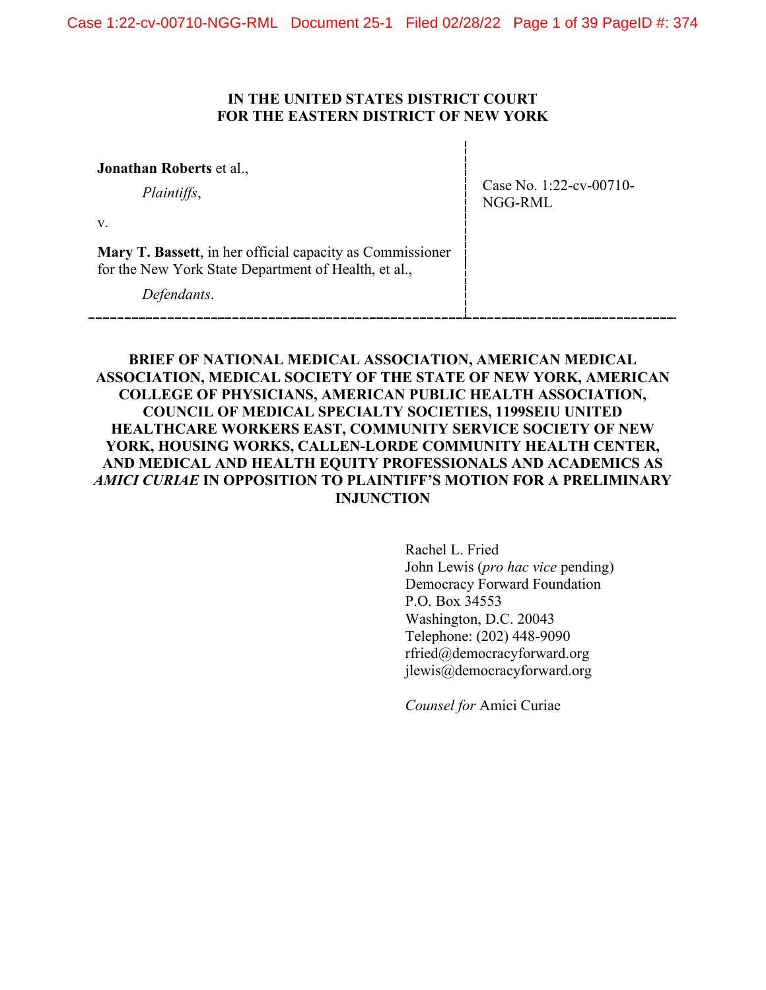## **IN THE UNITED STATES DISTRICT COURT FOR THE EASTERN DISTRICT OF NEW YORK**

**Jonathan Roberts** et al.,

*Plaintiffs*,

Case No. 1:22-cv-00710- NGG-RML

v.

**Mary T. Bassett**, in her official capacity as Commissioner for the New York State Department of Health, et al.,

*Defendants*.

**BRIEF OF NATIONAL MEDICAL ASSOCIATION, AMERICAN MEDICAL ASSOCIATION, MEDICAL SOCIETY OF THE STATE OF NEW YORK, AMERICAN COLLEGE OF PHYSICIANS, AMERICAN PUBLIC HEALTH ASSOCIATION, COUNCIL OF MEDICAL SPECIALTY SOCIETIES, 1199SEIU UNITED HEALTHCARE WORKERS EAST, COMMUNITY SERVICE SOCIETY OF NEW YORK, HOUSING WORKS, CALLEN-LORDE COMMUNITY HEALTH CENTER, AND MEDICAL AND HEALTH EQUITY PROFESSIONALS AND ACADEMICS AS**  *AMICI CURIAE* **IN OPPOSITION TO PLAINTIFF'S MOTION FOR A PRELIMINARY INJUNCTION**

> Rachel L. Fried John Lewis (*pro hac vice* pending) Democracy Forward Foundation P.O. Box 34553 Washington, D.C. 20043 Telephone: (202) 448-9090 rfried@democracyforward.org jlewis@democracyforward.org

*Counsel for* Amici Curiae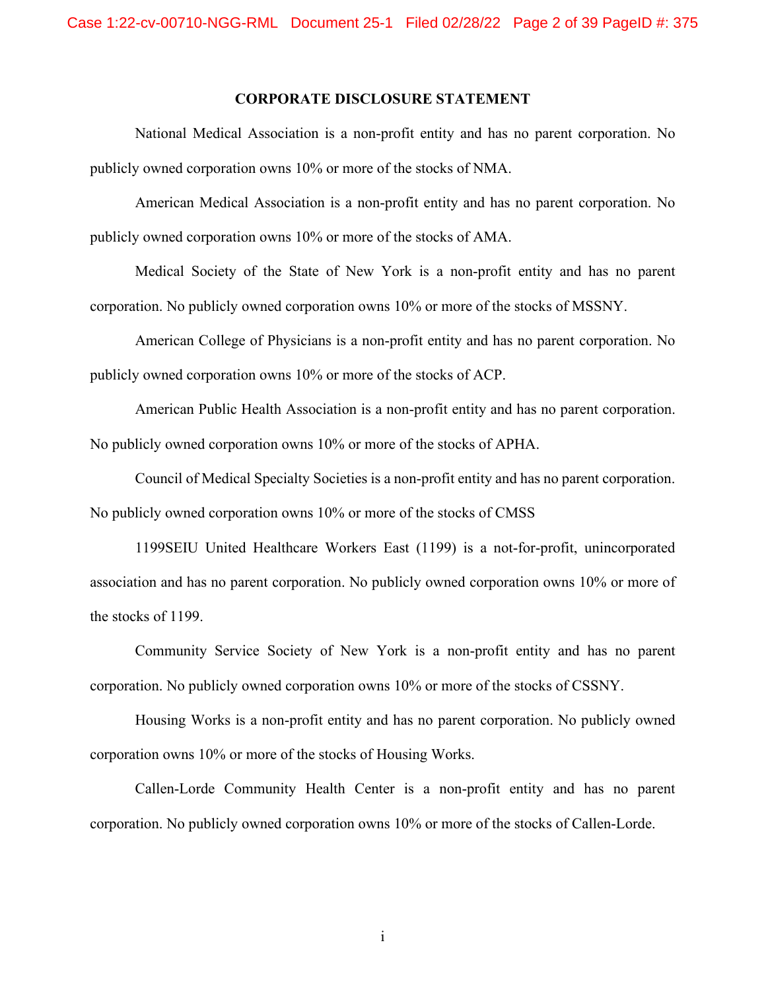#### **CORPORATE DISCLOSURE STATEMENT**

National Medical Association is a non-profit entity and has no parent corporation. No publicly owned corporation owns 10% or more of the stocks of NMA.

American Medical Association is a non-profit entity and has no parent corporation. No publicly owned corporation owns 10% or more of the stocks of AMA.

Medical Society of the State of New York is a non-profit entity and has no parent corporation. No publicly owned corporation owns 10% or more of the stocks of MSSNY.

American College of Physicians is a non-profit entity and has no parent corporation. No publicly owned corporation owns 10% or more of the stocks of ACP.

American Public Health Association is a non-profit entity and has no parent corporation. No publicly owned corporation owns 10% or more of the stocks of APHA.

Council of Medical Specialty Societies is a non-profit entity and has no parent corporation. No publicly owned corporation owns 10% or more of the stocks of CMSS

1199SEIU United Healthcare Workers East (1199) is a not-for-profit, unincorporated association and has no parent corporation. No publicly owned corporation owns 10% or more of the stocks of 1199.

Community Service Society of New York is a non-profit entity and has no parent corporation. No publicly owned corporation owns 10% or more of the stocks of CSSNY.

Housing Works is a non-profit entity and has no parent corporation. No publicly owned corporation owns 10% or more of the stocks of Housing Works.

Callen-Lorde Community Health Center is a non-profit entity and has no parent corporation. No publicly owned corporation owns 10% or more of the stocks of Callen-Lorde.

i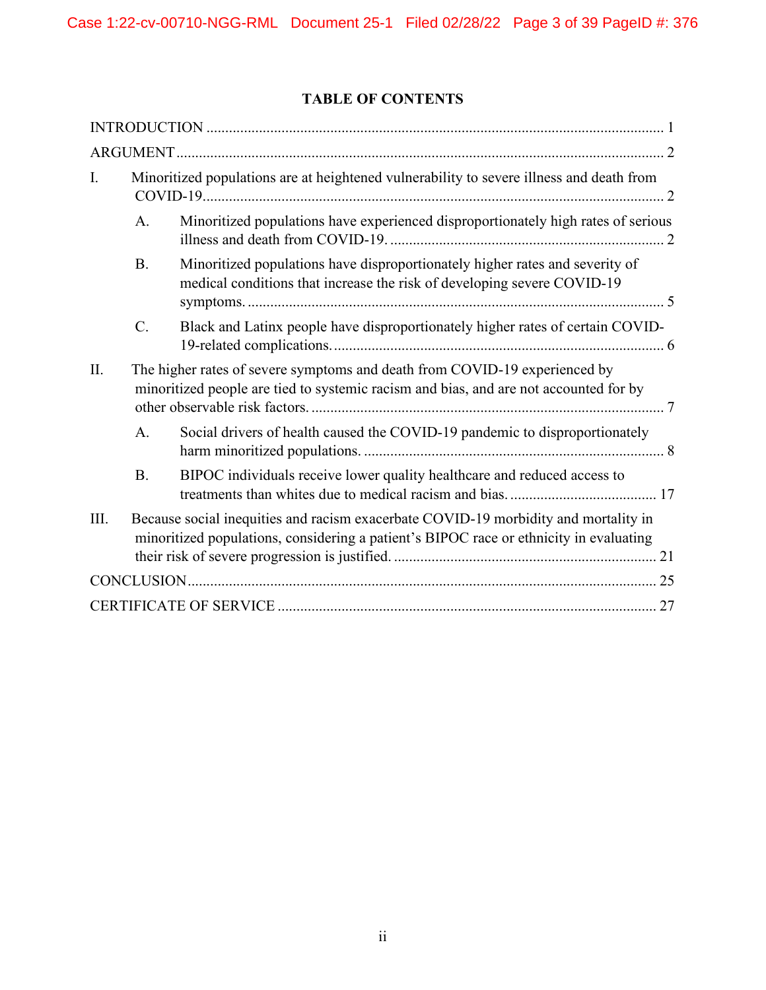# **TABLE OF CONTENTS**

| Ι.   | Minoritized populations are at heightened vulnerability to severe illness and death from                                                                                      |
|------|-------------------------------------------------------------------------------------------------------------------------------------------------------------------------------|
|      | Minoritized populations have experienced disproportionately high rates of serious<br>A.                                                                                       |
|      | <b>B.</b><br>Minoritized populations have disproportionately higher rates and severity of<br>medical conditions that increase the risk of developing severe COVID-19          |
|      | $C$ .<br>Black and Latinx people have disproportionately higher rates of certain COVID-                                                                                       |
| II.  | The higher rates of severe symptoms and death from COVID-19 experienced by<br>minoritized people are tied to systemic racism and bias, and are not accounted for by           |
|      | A.<br>Social drivers of health caused the COVID-19 pandemic to disproportionately                                                                                             |
|      | <b>B.</b><br>BIPOC individuals receive lower quality healthcare and reduced access to                                                                                         |
| III. | Because social inequities and racism exacerbate COVID-19 morbidity and mortality in<br>minoritized populations, considering a patient's BIPOC race or ethnicity in evaluating |
|      |                                                                                                                                                                               |
|      |                                                                                                                                                                               |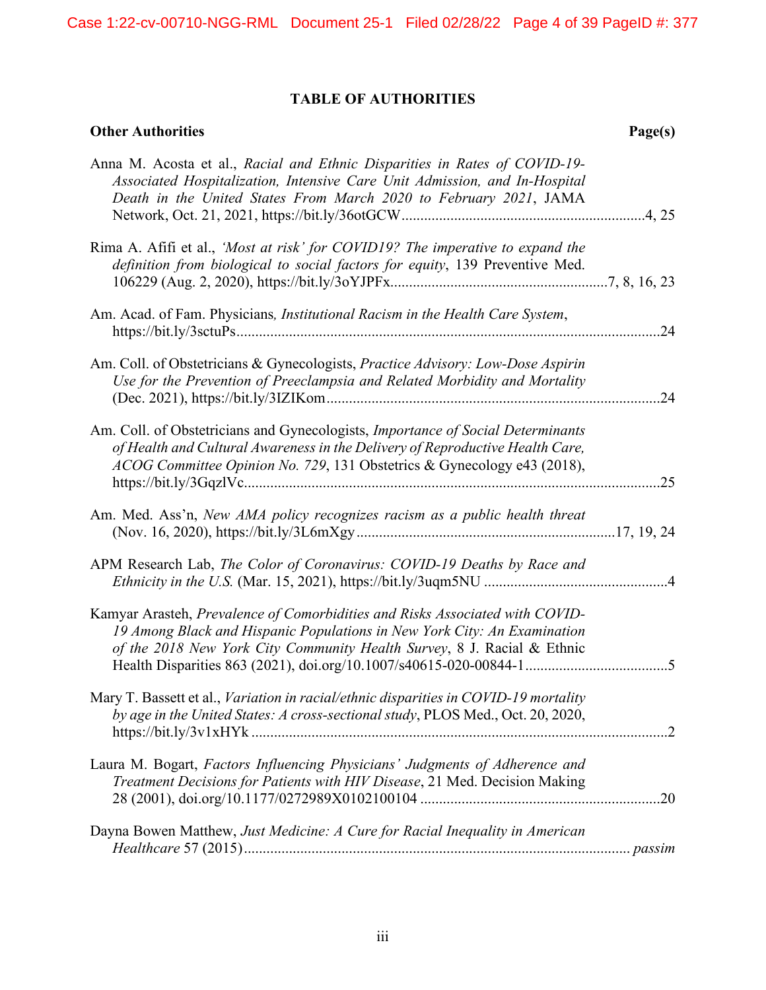# **TABLE OF AUTHORITIES**

| <b>Other Authorities</b>                                                                                                                                                                                                                    | Page(s) |
|---------------------------------------------------------------------------------------------------------------------------------------------------------------------------------------------------------------------------------------------|---------|
| Anna M. Acosta et al., Racial and Ethnic Disparities in Rates of COVID-19-<br>Associated Hospitalization, Intensive Care Unit Admission, and In-Hospital<br>Death in the United States From March 2020 to February 2021, JAMA               |         |
| Rima A. Afifi et al., 'Most at risk' for COVID19? The imperative to expand the<br>definition from biological to social factors for equity, 139 Preventive Med.                                                                              |         |
| Am. Acad. of Fam. Physicians, Institutional Racism in the Health Care System,                                                                                                                                                               |         |
| Am. Coll. of Obstetricians & Gynecologists, Practice Advisory: Low-Dose Aspirin<br>Use for the Prevention of Preeclampsia and Related Morbidity and Mortality                                                                               |         |
| Am. Coll. of Obstetricians and Gynecologists, Importance of Social Determinants<br>of Health and Cultural Awareness in the Delivery of Reproductive Health Care,<br>ACOG Committee Opinion No. 729, 131 Obstetrics & Gynecology e43 (2018), |         |
| Am. Med. Ass'n, New AMA policy recognizes racism as a public health threat                                                                                                                                                                  |         |
| APM Research Lab, The Color of Coronavirus: COVID-19 Deaths by Race and                                                                                                                                                                     |         |
| Kamyar Arasteh, Prevalence of Comorbidities and Risks Associated with COVID-<br>19 Among Black and Hispanic Populations in New York City: An Examination<br>of the 2018 New York City Community Health Survey, 8 J. Racial & Ethnic         |         |
| Mary T. Bassett et al., Variation in racial/ethnic disparities in COVID-19 mortality<br>by age in the United States: A cross-sectional study, PLOS Med., Oct. 20, 2020,                                                                     |         |
| Laura M. Bogart, Factors Influencing Physicians' Judgments of Adherence and<br>Treatment Decisions for Patients with HIV Disease, 21 Med. Decision Making                                                                                   |         |
| Dayna Bowen Matthew, Just Medicine: A Cure for Racial Inequality in American                                                                                                                                                                |         |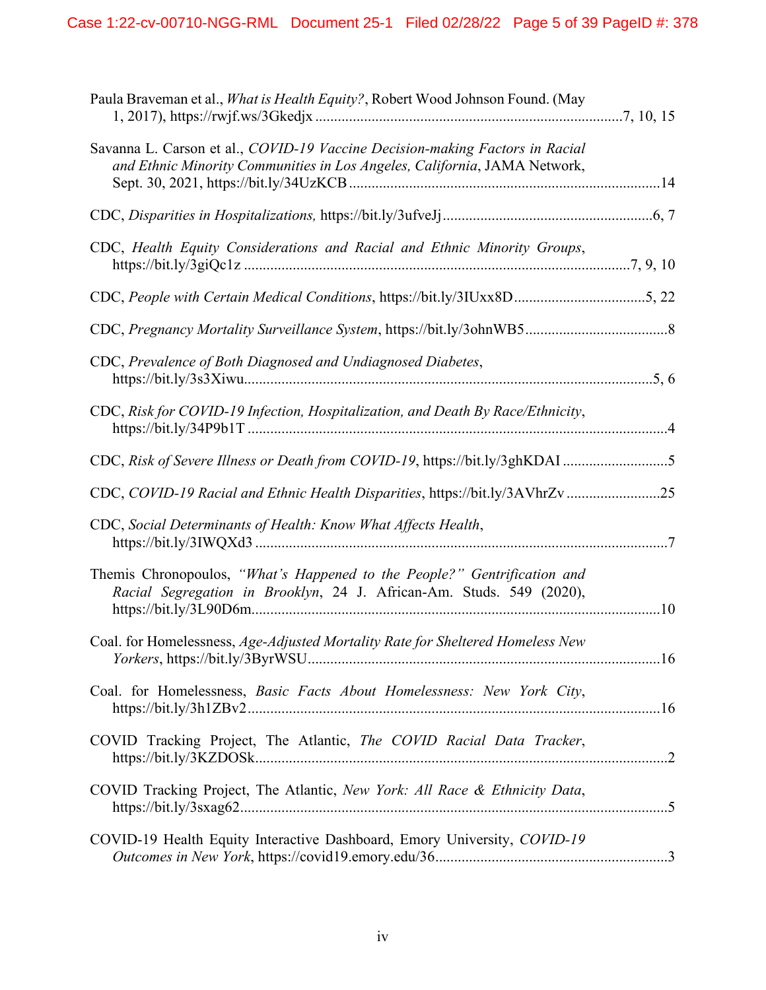| Paula Braveman et al., <i>What is Health Equity?</i> , Robert Wood Johnson Found. (May                                                                    |  |
|-----------------------------------------------------------------------------------------------------------------------------------------------------------|--|
| Savanna L. Carson et al., COVID-19 Vaccine Decision-making Factors in Racial<br>and Ethnic Minority Communities in Los Angeles, California, JAMA Network, |  |
|                                                                                                                                                           |  |
| CDC, Health Equity Considerations and Racial and Ethnic Minority Groups,                                                                                  |  |
| CDC, People with Certain Medical Conditions, https://bit.ly/3IUxx8D5, 22                                                                                  |  |
|                                                                                                                                                           |  |
| CDC, Prevalence of Both Diagnosed and Undiagnosed Diabetes,                                                                                               |  |
| CDC, Risk for COVID-19 Infection, Hospitalization, and Death By Race/Ethnicity,                                                                           |  |
| CDC, Risk of Severe Illness or Death from COVID-19, https://bit.ly/3ghKDAI 5                                                                              |  |
| CDC, COVID-19 Racial and Ethnic Health Disparities, https://bit.ly/3AVhrZv25                                                                              |  |
| CDC, Social Determinants of Health: Know What Affects Health,                                                                                             |  |
| Themis Chronopoulos, "What's Happened to the People?" Gentrification and<br>Racial Segregation in Brooklyn, 24 J. African-Am. Studs. 549 (2020),          |  |
| Coal. for Homelessness, Age-Adjusted Mortality Rate for Sheltered Homeless New                                                                            |  |
| Coal. for Homelessness, Basic Facts About Homelessness: New York City,                                                                                    |  |
| COVID Tracking Project, The Atlantic, The COVID Racial Data Tracker,                                                                                      |  |
| COVID Tracking Project, The Atlantic, New York: All Race & Ethnicity Data,                                                                                |  |
| COVID-19 Health Equity Interactive Dashboard, Emory University, COVID-19                                                                                  |  |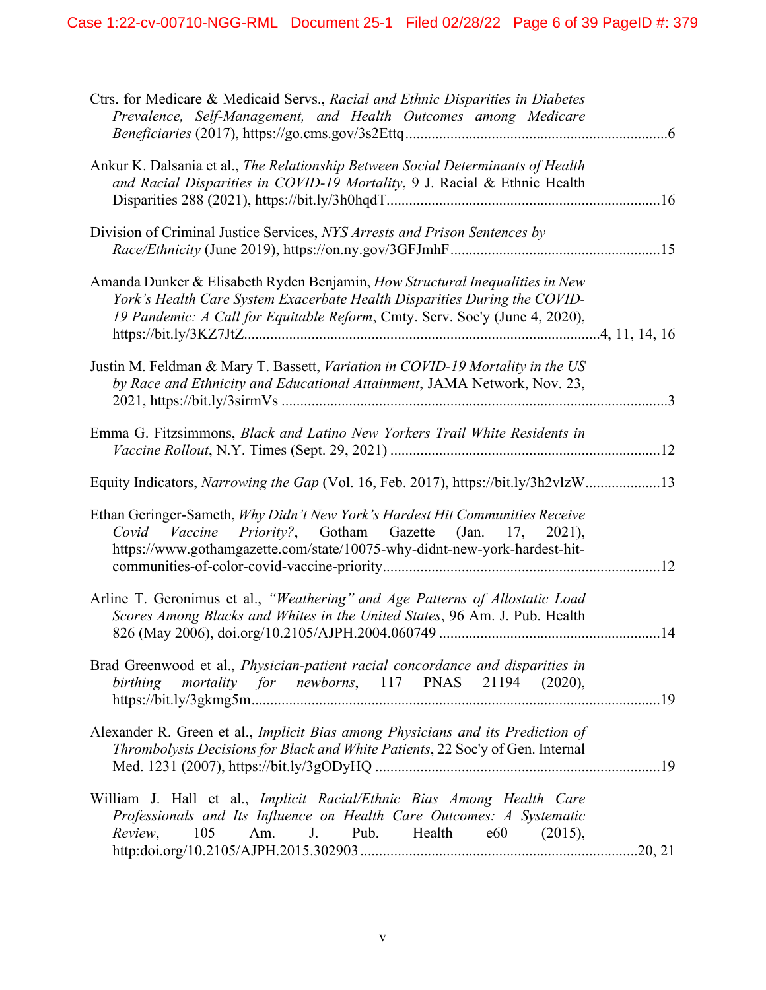| Ctrs. for Medicare & Medicaid Servs., Racial and Ethnic Disparities in Diabetes<br>Prevalence, Self-Management, and Health Outcomes among Medicare                                                                                       |  |
|------------------------------------------------------------------------------------------------------------------------------------------------------------------------------------------------------------------------------------------|--|
| Ankur K. Dalsania et al., The Relationship Between Social Determinants of Health<br>and Racial Disparities in COVID-19 Mortality, 9 J. Racial & Ethnic Health                                                                            |  |
| Division of Criminal Justice Services, NYS Arrests and Prison Sentences by                                                                                                                                                               |  |
| Amanda Dunker & Elisabeth Ryden Benjamin, How Structural Inequalities in New<br>York's Health Care System Exacerbate Health Disparities During the COVID-<br>19 Pandemic: A Call for Equitable Reform, Cmty. Serv. Soc'y (June 4, 2020), |  |
| Justin M. Feldman & Mary T. Bassett, Variation in COVID-19 Mortality in the US<br>by Race and Ethnicity and Educational Attainment, JAMA Network, Nov. 23,                                                                               |  |
| Emma G. Fitzsimmons, Black and Latino New Yorkers Trail White Residents in                                                                                                                                                               |  |
| Equity Indicators, Narrowing the Gap (Vol. 16, Feb. 2017), https://bit.ly/3h2vlzW13                                                                                                                                                      |  |
| Ethan Geringer-Sameth, Why Didn't New York's Hardest Hit Communities Receive<br>Covid Vaccine Priority?, Gotham Gazette (Jan. 17, 2021),<br>https://www.gothamgazette.com/state/10075-why-didnt-new-york-hardest-hit-                    |  |
| Arline T. Geronimus et al., "Weathering" and Age Patterns of Allostatic Load<br>Scores Among Blacks and Whites in the United States, 96 Am. J. Pub. Health                                                                               |  |
| Brad Greenwood et al., Physician-patient racial concordance and disparities in<br>birthing mortality for newborns, 117 PNAS 21194 (2020),                                                                                                |  |
| Alexander R. Green et al., Implicit Bias among Physicians and its Prediction of<br>Thrombolysis Decisions for Black and White Patients, 22 Soc'y of Gen. Internal                                                                        |  |
| William J. Hall et al., Implicit Racial/Ethnic Bias Among Health Care<br>Professionals and Its Influence on Health Care Outcomes: A Systematic<br>Am. J. Pub. Health e60<br>105<br>(2015),<br>Review,                                    |  |
|                                                                                                                                                                                                                                          |  |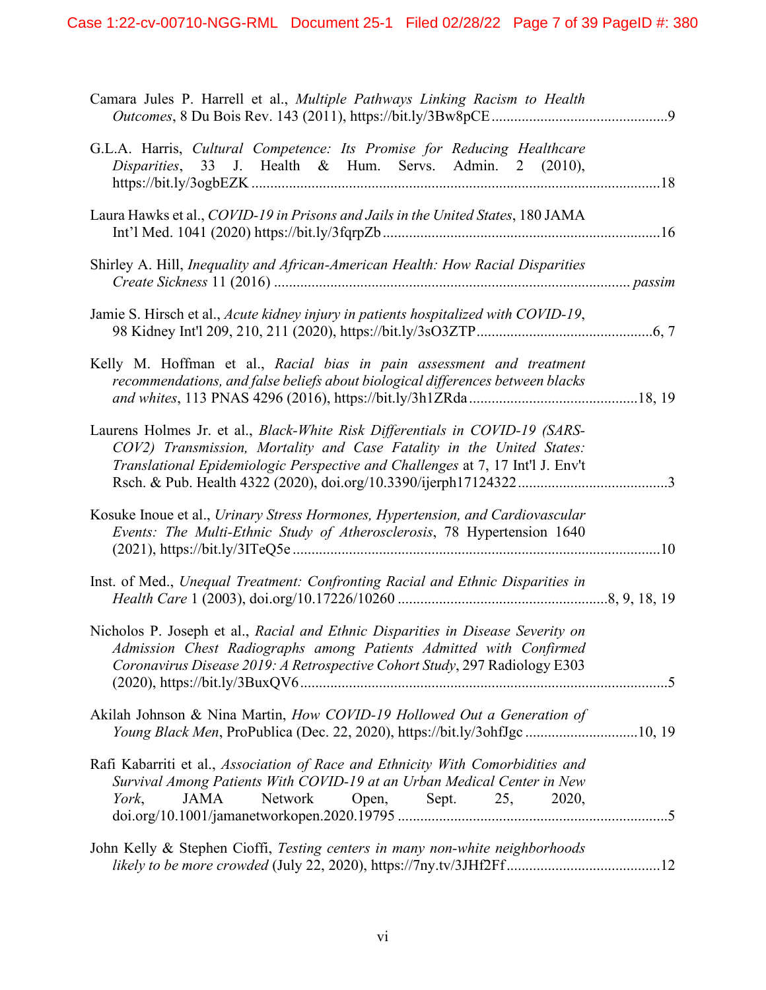| Camara Jules P. Harrell et al., Multiple Pathways Linking Racism to Health                                                                                                                                                              |
|-----------------------------------------------------------------------------------------------------------------------------------------------------------------------------------------------------------------------------------------|
| G.L.A. Harris, Cultural Competence: Its Promise for Reducing Healthcare<br>Disparities, 33 J. Health & Hum. Servs. Admin. 2 (2010),                                                                                                     |
| Laura Hawks et al., COVID-19 in Prisons and Jails in the United States, 180 JAMA                                                                                                                                                        |
| Shirley A. Hill, <i>Inequality and African-American Health: How Racial Disparities</i>                                                                                                                                                  |
| Jamie S. Hirsch et al., Acute kidney injury in patients hospitalized with COVID-19,                                                                                                                                                     |
| Kelly M. Hoffman et al., Racial bias in pain assessment and treatment<br>recommendations, and false beliefs about biological differences between blacks                                                                                 |
| Laurens Holmes Jr. et al., Black-White Risk Differentials in COVID-19 (SARS-<br>COV2) Transmission, Mortality and Case Fatality in the United States:<br>Translational Epidemiologic Perspective and Challenges at 7, 17 Int'l J. Env't |
| Kosuke Inoue et al., Urinary Stress Hormones, Hypertension, and Cardiovascular<br>Events: The Multi-Ethnic Study of Atherosclerosis, 78 Hypertension 1640                                                                               |
| Inst. of Med., Unequal Treatment: Confronting Racial and Ethnic Disparities in                                                                                                                                                          |
| Nicholos P. Joseph et al., Racial and Ethnic Disparities in Disease Severity on<br>Admission Chest Radiographs among Patients Admitted with Confirmed<br>Coronavirus Disease 2019: A Retrospective Cohort Study, 297 Radiology E303     |
| Akilah Johnson & Nina Martin, How COVID-19 Hollowed Out a Generation of<br>Young Black Men, ProPublica (Dec. 22, 2020), https://bit.ly/3ohfJgc10, 19                                                                                    |
| Rafi Kabarriti et al., Association of Race and Ethnicity With Comorbidities and<br>Survival Among Patients With COVID-19 at an Urban Medical Center in New<br>Network Open, Sept. 25, 2020,<br>JAMA<br>York,                            |
| John Kelly & Stephen Cioffi, Testing centers in many non-white neighborhoods                                                                                                                                                            |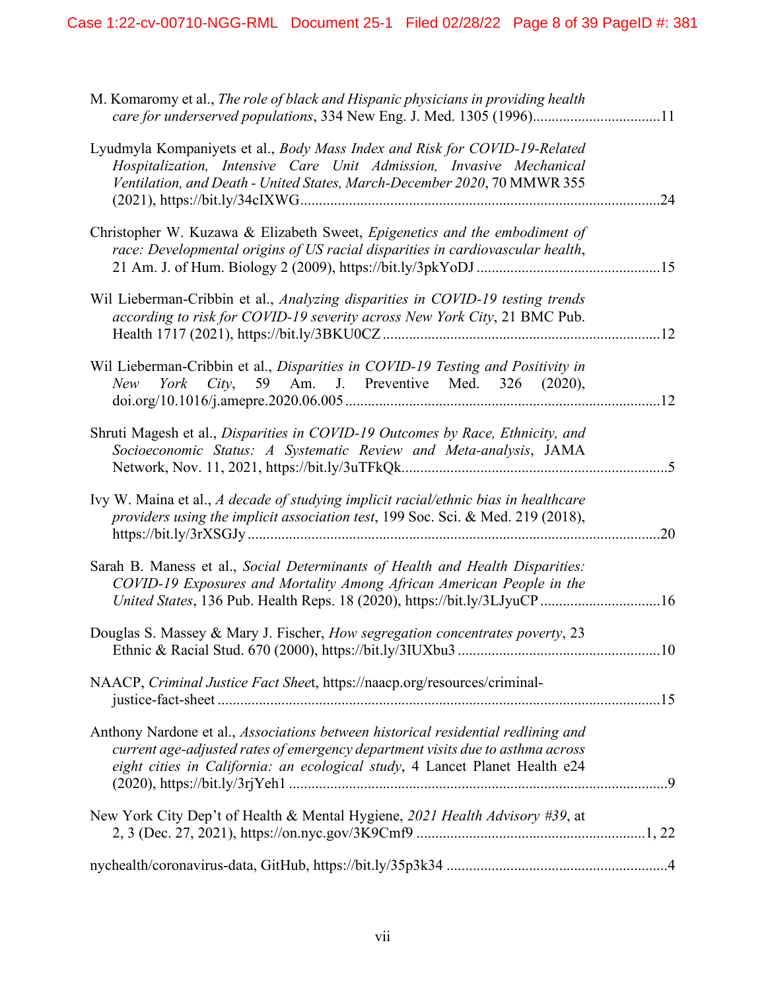| M. Komaromy et al., The role of black and Hispanic physicians in providing health<br>care for underserved populations, 334 New Eng. J. Med. 1305 (1996)11                                                                                          |     |
|----------------------------------------------------------------------------------------------------------------------------------------------------------------------------------------------------------------------------------------------------|-----|
| Lyudmyla Kompaniyets et al., Body Mass Index and Risk for COVID-19-Related<br>Hospitalization, Intensive Care Unit Admission, Invasive Mechanical<br>Ventilation, and Death - United States, March-December 2020, 70 MMWR 355                      | .24 |
| Christopher W. Kuzawa & Elizabeth Sweet, Epigenetics and the embodiment of<br>race: Developmental origins of US racial disparities in cardiovascular health,                                                                                       |     |
| Wil Lieberman-Cribbin et al., Analyzing disparities in COVID-19 testing trends<br>according to risk for COVID-19 severity across New York City, 21 BMC Pub.                                                                                        |     |
| Wil Lieberman-Cribbin et al., Disparities in COVID-19 Testing and Positivity in<br>New York City, 59 Am. J. Preventive Med. 326 (2020),                                                                                                            |     |
| Shruti Magesh et al., Disparities in COVID-19 Outcomes by Race, Ethnicity, and<br>Socioeconomic Status: A Systematic Review and Meta-analysis, JAMA                                                                                                |     |
| Ivy W. Maina et al., A decade of studying implicit racial/ethnic bias in healthcare<br>providers using the implicit association test, 199 Soc. Sci. & Med. 219 (2018),                                                                             | .20 |
| Sarah B. Maness et al., Social Determinants of Health and Health Disparities:<br>COVID-19 Exposures and Mortality Among African American People in the<br>United States, 136 Pub. Health Reps. 18 (2020), https://bit.ly/3LJyuCP16                 |     |
| Douglas S. Massey & Mary J. Fischer, How segregation concentrates poverty, 23                                                                                                                                                                      |     |
| NAACP, Criminal Justice Fact Sheet, https://naacp.org/resources/criminal-                                                                                                                                                                          |     |
| Anthony Nardone et al., Associations between historical residential redlining and<br>current age-adjusted rates of emergency department visits due to asthma across<br>eight cities in California: an ecological study, 4 Lancet Planet Health e24 |     |
| New York City Dep't of Health & Mental Hygiene, 2021 Health Advisory #39, at                                                                                                                                                                       |     |
|                                                                                                                                                                                                                                                    |     |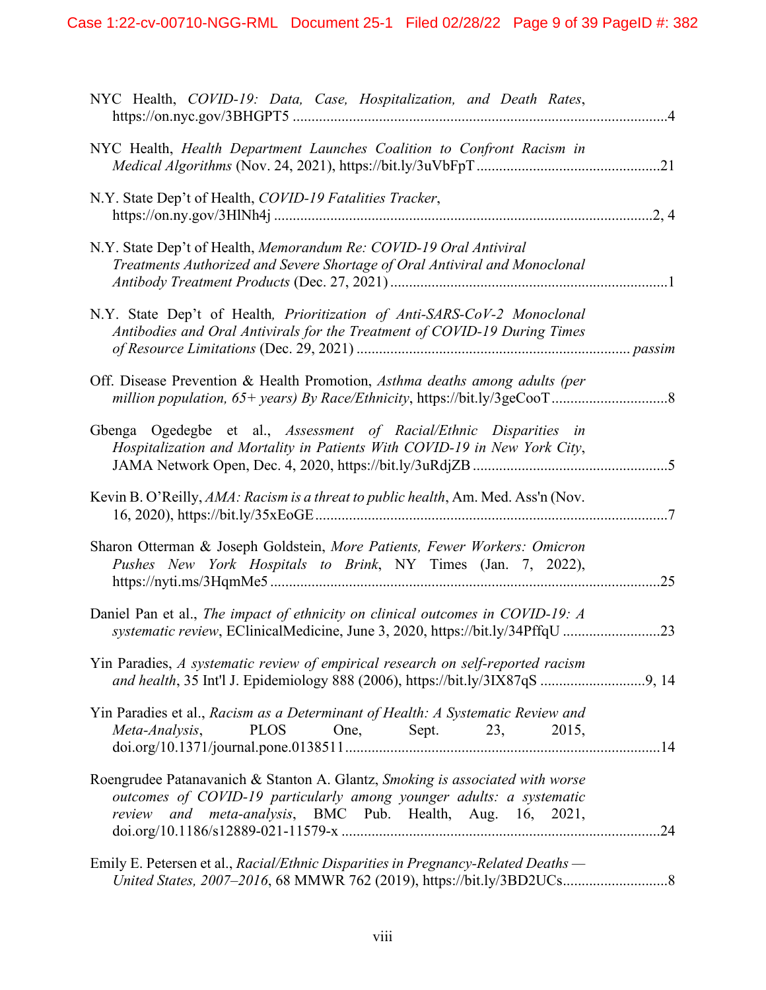| NYC Health, COVID-19: Data, Case, Hospitalization, and Death Rates,                                                                                                                                                |  |
|--------------------------------------------------------------------------------------------------------------------------------------------------------------------------------------------------------------------|--|
| NYC Health, Health Department Launches Coalition to Confront Racism in                                                                                                                                             |  |
| N.Y. State Dep't of Health, COVID-19 Fatalities Tracker,                                                                                                                                                           |  |
| N.Y. State Dep't of Health, Memorandum Re: COVID-19 Oral Antiviral<br>Treatments Authorized and Severe Shortage of Oral Antiviral and Monoclonal                                                                   |  |
| N.Y. State Dep't of Health, Prioritization of Anti-SARS-CoV-2 Monoclonal<br>Antibodies and Oral Antivirals for the Treatment of COVID-19 During Times                                                              |  |
| Off. Disease Prevention & Health Promotion, Asthma deaths among adults (per                                                                                                                                        |  |
| Gbenga Ogedegbe et al., Assessment of Racial/Ethnic Disparities in<br>Hospitalization and Mortality in Patients With COVID-19 in New York City,                                                                    |  |
| Kevin B. O'Reilly, AMA: Racism is a threat to public health, Am. Med. Ass'n (Nov.                                                                                                                                  |  |
| Sharon Otterman & Joseph Goldstein, More Patients, Fewer Workers: Omicron<br>Pushes New York Hospitals to Brink, NY Times (Jan. 7, 2022),                                                                          |  |
| Daniel Pan et al., The impact of ethnicity on clinical outcomes in COVID-19: A<br>systematic review, EClinicalMedicine, June 3, 2020, https://bit.ly/34PffqU 23                                                    |  |
| Yin Paradies, A systematic review of empirical research on self-reported racism                                                                                                                                    |  |
| Yin Paradies et al., Racism as a Determinant of Health: A Systematic Review and<br>PLOS One, Sept. 23, 2015,<br>Meta-Analysis,                                                                                     |  |
| Roengrudee Patanavanich & Stanton A. Glantz, Smoking is associated with worse<br>outcomes of COVID-19 particularly among younger adults: a systematic<br>review and meta-analysis, BMC Pub. Health, Aug. 16, 2021, |  |
| Emily E. Petersen et al., Racial/Ethnic Disparities in Pregnancy-Related Deaths —                                                                                                                                  |  |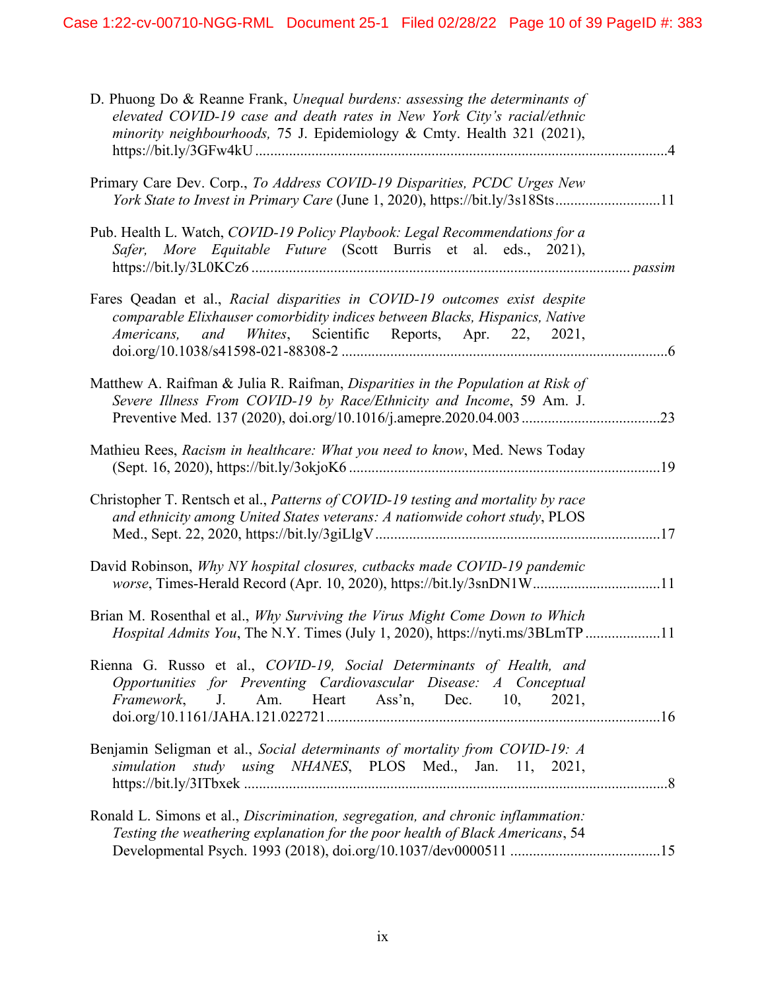| D. Phuong Do & Reanne Frank, Unequal burdens: assessing the determinants of<br>elevated COVID-19 case and death rates in New York City's racial/ethnic<br>minority neighbourhoods, 75 J. Epidemiology & Cmty. Health 321 (2021), |  |
|----------------------------------------------------------------------------------------------------------------------------------------------------------------------------------------------------------------------------------|--|
| Primary Care Dev. Corp., To Address COVID-19 Disparities, PCDC Urges New<br>York State to Invest in Primary Care (June 1, 2020), https://bit.ly/3s18Sts11                                                                        |  |
| Pub. Health L. Watch, COVID-19 Policy Playbook: Legal Recommendations for a<br>Safer, More Equitable Future (Scott Burris et al. eds., 2021),                                                                                    |  |
| Fares Qeadan et al., Racial disparities in COVID-19 outcomes exist despite<br>comparable Elixhauser comorbidity indices between Blacks, Hispanics, Native<br>and Whites, Scientific Reports, Apr. 22, 2021,<br>Americans,        |  |
| Matthew A. Raifman & Julia R. Raifman, Disparities in the Population at Risk of<br>Severe Illness From COVID-19 by Race/Ethnicity and Income, 59 Am. J.                                                                          |  |
| Mathieu Rees, Racism in healthcare: What you need to know, Med. News Today                                                                                                                                                       |  |
| Christopher T. Rentsch et al., Patterns of COVID-19 testing and mortality by race<br>and ethnicity among United States veterans: A nationwide cohort study, PLOS                                                                 |  |
| David Robinson, Why NY hospital closures, cutbacks made COVID-19 pandemic<br>worse, Times-Herald Record (Apr. 10, 2020), https://bit.ly/3snDN1W11                                                                                |  |
| Brian M. Rosenthal et al., Why Surviving the Virus Might Come Down to Which<br>Hospital Admits You, The N.Y. Times (July 1, 2020), https://nyti.ms/3BLmTP11                                                                      |  |
| Rienna G. Russo et al., COVID-19, Social Determinants of Health, and<br>Opportunities for Preventing Cardiovascular Disease: A Conceptual<br>Framework, J. Am. Heart Ass'n, Dec. 10, 2021,                                       |  |
| Benjamin Seligman et al., Social determinants of mortality from COVID-19: A<br>simulation study using NHANES, PLOS Med., Jan. 11, 2021,                                                                                          |  |
| Ronald L. Simons et al., Discrimination, segregation, and chronic inflammation:<br>Testing the weathering explanation for the poor health of Black Americans, 54                                                                 |  |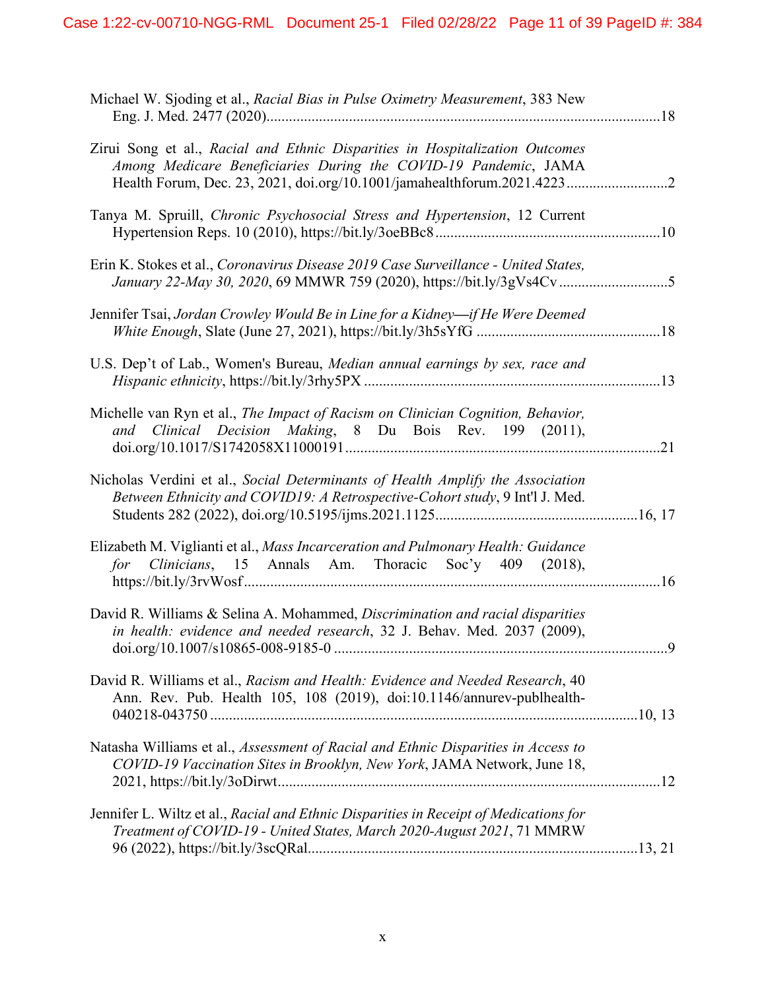| Michael W. Sjoding et al., Racial Bias in Pulse Oximetry Measurement, 383 New                                                                                                                                             |  |
|---------------------------------------------------------------------------------------------------------------------------------------------------------------------------------------------------------------------------|--|
| Zirui Song et al., Racial and Ethnic Disparities in Hospitalization Outcomes<br>Among Medicare Beneficiaries During the COVID-19 Pandemic, JAMA<br>Health Forum, Dec. 23, 2021, doi.org/10.1001/jamahealthforum.2021.4223 |  |
| Tanya M. Spruill, Chronic Psychosocial Stress and Hypertension, 12 Current                                                                                                                                                |  |
| Erin K. Stokes et al., Coronavirus Disease 2019 Case Surveillance - United States,                                                                                                                                        |  |
| Jennifer Tsai, Jordan Crowley Would Be in Line for a Kidney—if He Were Deemed                                                                                                                                             |  |
| U.S. Dep't of Lab., Women's Bureau, Median annual earnings by sex, race and                                                                                                                                               |  |
| Michelle van Ryn et al., The Impact of Racism on Clinician Cognition, Behavior,<br>Clinical Decision Making, 8 Du Bois Rev. 199 (2011),<br>and                                                                            |  |
| Nicholas Verdini et al., Social Determinants of Health Amplify the Association<br>Between Ethnicity and COVID19: A Retrospective-Cohort study, 9 Int'l J. Med.                                                            |  |
| Elizabeth M. Viglianti et al., Mass Incarceration and Pulmonary Health: Guidance<br>for Clinicians, 15 Annals Am. Thoracic Soc'y 409 (2018),                                                                              |  |
| David R. Williams & Selina A. Mohammed, Discrimination and racial disparities<br>in health: evidence and needed research, 32 J. Behav. Med. 2037 (2009),                                                                  |  |
| David R. Williams et al., Racism and Health: Evidence and Needed Research, 40<br>Ann. Rev. Pub. Health 105, 108 (2019), doi:10.1146/annurev-publhealth-                                                                   |  |
| Natasha Williams et al., Assessment of Racial and Ethnic Disparities in Access to<br>COVID-19 Vaccination Sites in Brooklyn, New York, JAMA Network, June 18,                                                             |  |
| Jennifer L. Wiltz et al., Racial and Ethnic Disparities in Receipt of Medications for<br>Treatment of COVID-19 - United States, March 2020-August 2021, 71 MMRW                                                           |  |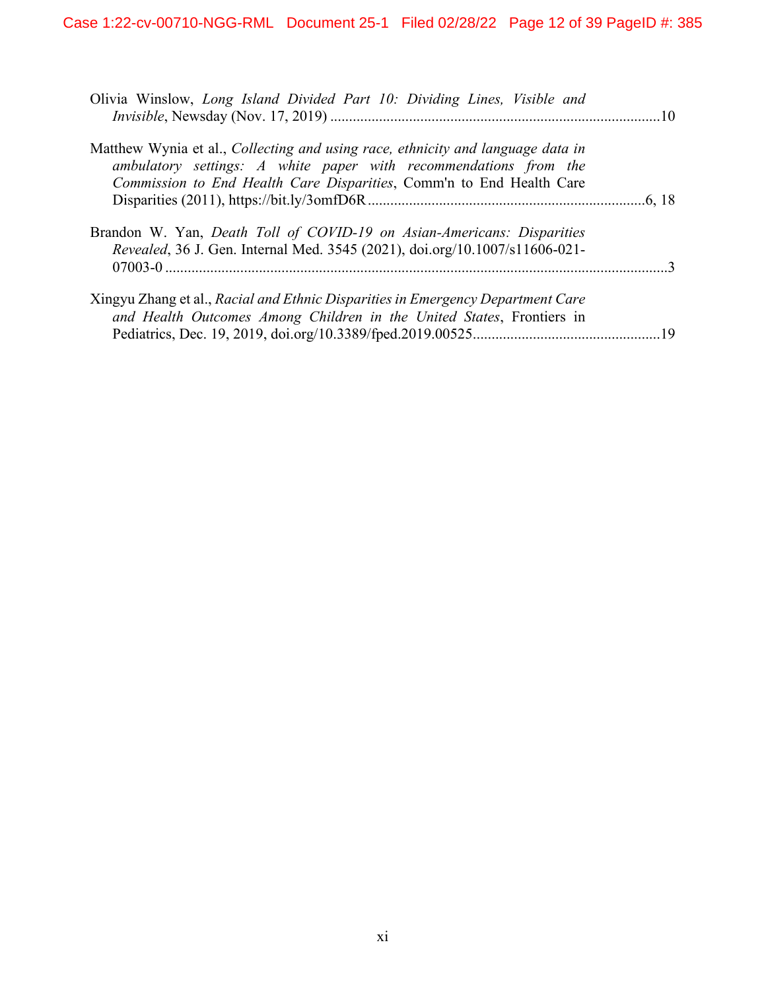| Olivia Winslow, Long Island Divided Part 10: Dividing Lines, Visible and                                                                                                                                                    |  |
|-----------------------------------------------------------------------------------------------------------------------------------------------------------------------------------------------------------------------------|--|
| Matthew Wynia et al., Collecting and using race, ethnicity and language data in<br>ambulatory settings: A white paper with recommendations from the<br>Commission to End Health Care Disparities, Comm'n to End Health Care |  |
| Brandon W. Yan, Death Toll of COVID-19 on Asian-Americans: Disparities<br>Revealed, 36 J. Gen. Internal Med. 3545 (2021), doi.org/10.1007/s11606-021-                                                                       |  |
| Xingyu Zhang et al., Racial and Ethnic Disparities in Emergency Department Care<br>and Health Outcomes Among Children in the United States, Frontiers in                                                                    |  |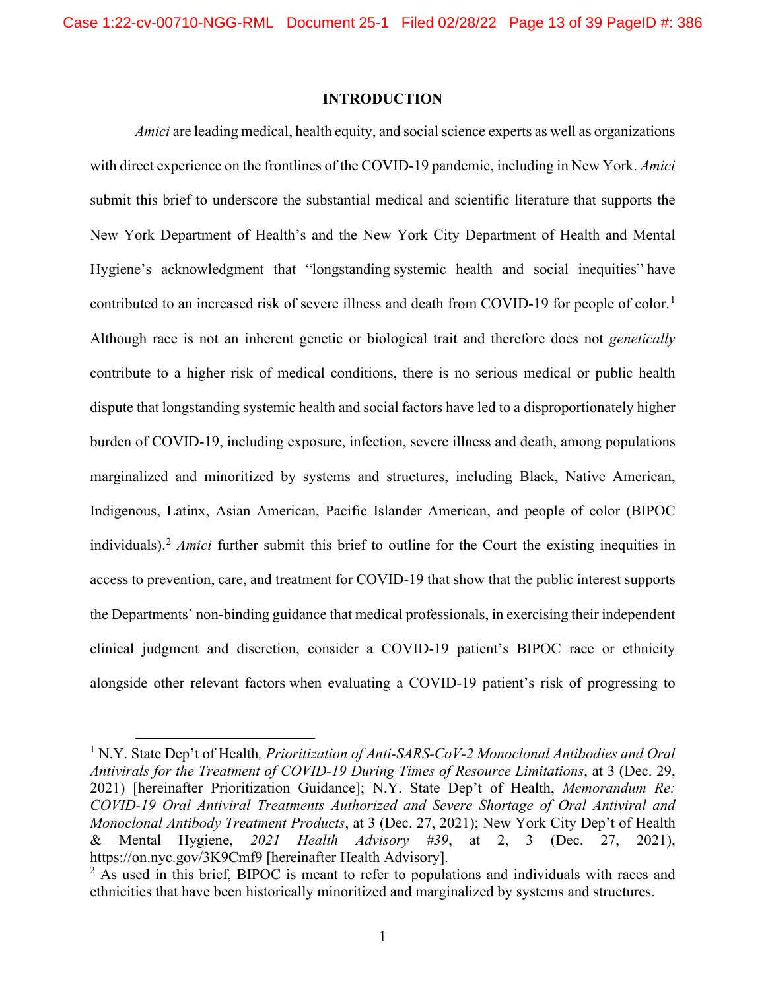#### **INTRODUCTION**

*Amici* are leading medical, health equity, and social science experts as well as organizations with direct experience on the frontlines of the COVID-19 pandemic, including in New York. *Amici* submit this brief to underscore the substantial medical and scientific literature that supports the New York Department of Health's and the New York City Department of Health and Mental Hygiene's acknowledgment that "longstanding systemic health and social inequities" have contributed to an increased risk of severe illness and death from COVID-[1](#page-12-1)9 for people of color.<sup>1</sup> Although race is not an inherent genetic or biological trait and therefore does not *genetically* contribute to a higher risk of medical conditions, there is no serious medical or public health dispute that longstanding systemic health and social factors have led to a disproportionately higher burden of COVID-19, including exposure, infection, severe illness and death, among populations marginalized and minoritized by systems and structures, including Black, Native American, Indigenous, Latinx, Asian American, Pacific Islander American, and people of color (BIPOC individuals).[2](#page-12-2) *Amici* further submit this brief to outline for the Court the existing inequities in access to prevention, care, and treatment for COVID-19 that show that the public interest supports the Departments' non-binding guidance that medical professionals, in exercising their independent clinical judgment and discretion, consider a COVID-19 patient's BIPOC race or ethnicity alongside other relevant factors when evaluating a COVID-19 patient's risk of progressing to

<span id="page-12-1"></span><span id="page-12-0"></span><sup>&</sup>lt;sup>1</sup> N.Y. State Dep't of Health, *Prioritization of Anti-SARS-CoV-2 Monoclonal Antibodies and Oral Antivirals for the Treatment of COVID-19 During Times of Resource Limitations*, at 3 (Dec. 29, 2021) [hereinafter Prioritization Guidance]; N.Y. State Dep't of Health, *Memorandum Re: COVID-19 Oral Antiviral Treatments Authorized and Severe Shortage of Oral Antiviral and Monoclonal Antibody Treatment Products*, at 3 (Dec. 27, 2021); New York City Dep't of Health & Mental Hygiene, *2021 Health Advisory #39*, at 2, 3 (Dec. 27, 2021), https://on.nyc.gov/3K9Cmf9 [hereinafter Health Advisory].

<span id="page-12-2"></span> $2$  As used in this brief, BIPOC is meant to refer to populations and individuals with races and ethnicities that have been historically minoritized and marginalized by systems and structures.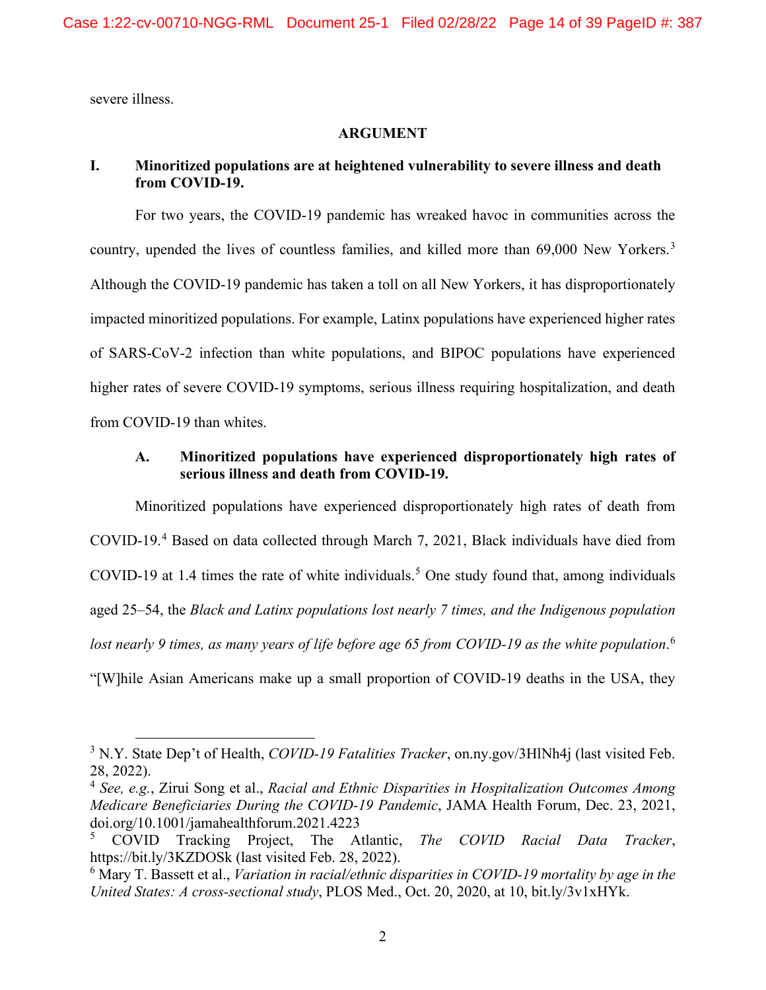severe illness.

#### **ARGUMENT**

### **I. Minoritized populations are at heightened vulnerability to severe illness and death from COVID-19.**

For two years, the COVID-19 pandemic has wreaked havoc in communities across the country, upended the lives of countless families, and killed more than 69,000 New Yorkers.<sup>[3](#page-13-0)</sup> Although the COVID-19 pandemic has taken a toll on all New Yorkers, it has disproportionately impacted minoritized populations. For example, Latinx populations have experienced higher rates of SARS-CoV-2 infection than white populations, and BIPOC populations have experienced higher rates of severe COVID-19 symptoms, serious illness requiring hospitalization, and death from COVID-19 than whites.

## **A. Minoritized populations have experienced disproportionately high rates of serious illness and death from COVID-19.**

Minoritized populations have experienced disproportionately high rates of death from COVID-19.[4](#page-13-1) Based on data collected through March 7, 2021, Black individuals have died from COVID-19 at 1.4 times the rate of white individuals. [5](#page-13-2) One study found that, among individuals aged 25–54, the *Black and Latinx populations lost nearly 7 times, and the Indigenous population lost nearly 9 times, as many years of life before age 65 from COVID-19 as the white population*. [6](#page-13-3) "[W]hile Asian Americans make up a small proportion of COVID-19 deaths in the USA, they

<span id="page-13-0"></span><sup>3</sup> N.Y. State Dep't of Health, *COVID-19 Fatalities Tracker*, on.ny.gov/3HlNh4j (last visited Feb. 28, 2022).

<span id="page-13-1"></span><sup>4</sup> *See, e.g.*, Zirui Song et al., *Racial and Ethnic Disparities in Hospitalization Outcomes Among Medicare Beneficiaries During the COVID-19 Pandemic*, JAMA Health Forum, Dec. 23, 2021, doi.org/10.1001/jamahealthforum.2021.4223

<span id="page-13-2"></span><sup>5</sup> COVID Tracking Project, The Atlantic, *The COVID Racial Data Tracker*, https://bit.ly/3KZDOSk (last visited Feb. 28, 2022).

<span id="page-13-3"></span><sup>6</sup> Mary T. Bassett et al., *Variation in racial/ethnic disparities in COVID-19 mortality by age in the United States: A cross-sectional study*, PLOS Med., Oct. 20, 2020, at 10, bit.ly/3v1xHYk.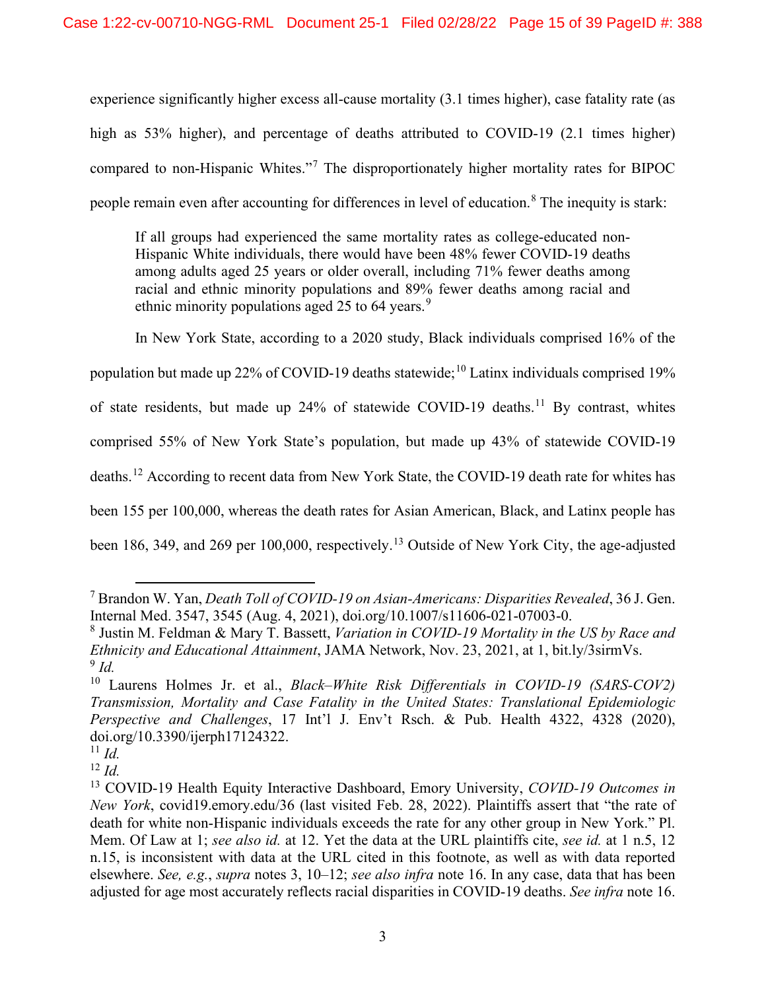experience significantly higher excess all-cause mortality (3.1 times higher), case fatality rate (as high as 53% higher), and percentage of deaths attributed to COVID-19 (2.1 times higher) compared to non-Hispanic Whites."[7](#page-14-0) The disproportionately higher mortality rates for BIPOC people remain even after accounting for differences in level of education.<sup>[8](#page-14-1)</sup> The inequity is stark:

If all groups had experienced the same mortality rates as college-educated non-Hispanic White individuals, there would have been 48% fewer COVID-19 deaths among adults aged 25 years or older overall, including 71% fewer deaths among racial and ethnic minority populations and 89% fewer deaths among racial and ethnic minority populations aged 25 to 64 years.<sup>[9](#page-14-2)</sup>

In New York State, according to a 2020 study, Black individuals comprised 16% of the

population but made up 22% of COVID-19 deaths statewide; [10](#page-14-3) Latinx individuals comprised 19%

of state residents, but made up  $24\%$  of statewide COVID-19 deaths.<sup>[11](#page-14-4)</sup> By contrast, whites

comprised 55% of New York State's population, but made up 43% of statewide COVID-19

deaths.<sup>[12](#page-14-5)</sup> According to recent data from New York State, the COVID-19 death rate for whites has

been 155 per 100,000, whereas the death rates for Asian American, Black, and Latinx people has

been 186, 349, and 269 per 100,000, respectively.<sup>[13](#page-14-6)</sup> Outside of New York City, the age-adjusted

<span id="page-14-0"></span><sup>7</sup> Brandon W. Yan, *Death Toll of COVID-19 on Asian-Americans: Disparities Revealed*, 36 J. Gen. Internal Med. 3547, 3545 (Aug. 4, 2021), doi.org/10.1007/s11606-021-07003-0.

<span id="page-14-1"></span><sup>8</sup> Justin M. Feldman & Mary T. Bassett, *Variation in COVID-19 Mortality in the US by Race and Ethnicity and Educational Attainment*, JAMA Network, Nov. 23, 2021, at 1, bit.ly/3sirmVs.  $9$  *Id.* 

<span id="page-14-3"></span><span id="page-14-2"></span><sup>10</sup> Laurens Holmes Jr. et al., *Black–White Risk Differentials in COVID-19 (SARS-COV2) Transmission, Mortality and Case Fatality in the United States: Translational Epidemiologic Perspective and Challenges*, 17 Int'l J. Env't Rsch. & Pub. Health 4322, 4328 (2020), doi.org/10.3390/ijerph17124322.

<span id="page-14-4"></span> $11$  *Id.* 

<span id="page-14-5"></span><sup>12</sup> *Id.*

<span id="page-14-6"></span><sup>13</sup> COVID-19 Health Equity Interactive Dashboard, Emory University, *COVID-19 Outcomes in New York*, covid19.emory.edu/36 (last visited Feb. 28, 2022). Plaintiffs assert that "the rate of death for white non-Hispanic individuals exceeds the rate for any other group in New York." Pl. Mem. Of Law at 1; *see also id.* at 12. Yet the data at the URL plaintiffs cite, *see id.* at 1 n.5, 12 n.15, is inconsistent with data at the URL cited in this footnote, as well as with data reported elsewhere. *See, e.g.*, *supra* notes 3, 10–12; *see also infra* note 16. In any case, data that has been adjusted for age most accurately reflects racial disparities in COVID-19 deaths. *See infra* note 16.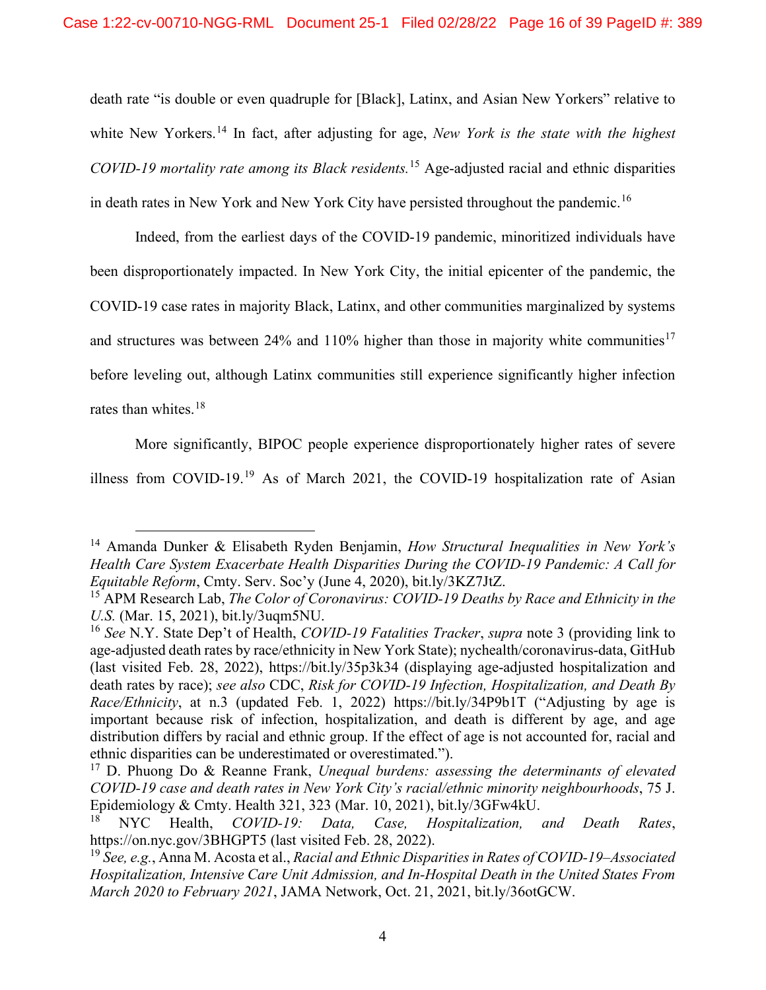death rate "is double or even quadruple for [Black], Latinx, and Asian New Yorkers" relative to white New Yorkers.<sup>[14](#page-15-3)</sup> In fact, after adjusting for age, *New York is the state with the highest COVID-19 mortality rate among its Black residents.*[15](#page-15-4) Age-adjusted racial and ethnic disparities in death rates in New York and New York City have persisted throughout the pandemic.<sup>[16](#page-15-5)</sup>

Indeed, from the earliest days of the COVID-19 pandemic, minoritized individuals have been disproportionately impacted. In New York City, the initial epicenter of the pandemic, the COVID-19 case rates in majority Black, Latinx, and other communities marginalized by systems and structures was between 24% and 110% higher than those in majority white communities<sup>[17](#page-15-6)</sup> before leveling out, although Latinx communities still experience significantly higher infection rates than whites.<sup>[18](#page-15-7)</sup>

More significantly, BIPOC people experience disproportionately higher rates of severe

illness from COVID-19.[19](#page-15-8) As of March 2021, the COVID-19 hospitalization rate of Asian

<span id="page-15-3"></span><span id="page-15-2"></span><sup>14</sup> Amanda Dunker & Elisabeth Ryden Benjamin, *How Structural Inequalities in New York's Health Care System Exacerbate Health Disparities During the COVID-19 Pandemic: A Call for Equitable Reform*, Cmty. Serv. Soc'y (June 4, 2020), bit.ly/3KZ7JtZ.

<span id="page-15-4"></span><span id="page-15-1"></span><sup>15</sup> APM Research Lab, *The Color of Coronavirus: COVID-19 Deaths by Race and Ethnicity in the U.S.* (Mar. 15, 2021), bit.ly/3uqm5NU.

<span id="page-15-5"></span><sup>16</sup> *See* N.Y. State Dep't of Health, *COVID-19 Fatalities Tracker*, *supra* note 3 (providing link to age-adjusted death rates by race/ethnicity in New York State); nychealth/coronavirus-data, GitHub (last visited Feb. 28, 2022), https://bit.ly/35p3k34 (displaying age-adjusted hospitalization and death rates by race); *see also* CDC, *Risk for COVID-19 Infection, Hospitalization, and Death By Race/Ethnicity*, at n.3 (updated Feb. 1, 2022) https://bit.ly/34P9b1T ("Adjusting by age is important because risk of infection, hospitalization, and death is different by age, and age distribution differs by racial and ethnic group. If the effect of age is not accounted for, racial and ethnic disparities can be underestimated or overestimated.").

<span id="page-15-6"></span><sup>17</sup> D. Phuong Do & Reanne Frank, *Unequal burdens: assessing the determinants of elevated COVID-19 case and death rates in New York City's racial/ethnic minority neighbourhoods*, 75 J. Epidemiology & Cmty. Health 321, 323 (Mar. 10, 2021), bit.ly/3GFw4kU.

<span id="page-15-7"></span><sup>18</sup> NYC Health, *COVID-19: Data, Case, Hospitalization, and Death Rates*, https://on.nyc.gov/3BHGPT5 (last visited Feb. 28, 2022).

<span id="page-15-8"></span><span id="page-15-0"></span><sup>19</sup> *See, e.g.*, Anna M. Acosta et al., *Racial and Ethnic Disparities in Rates of COVID-19–Associated Hospitalization, Intensive Care Unit Admission, and In-Hospital Death in the United States From March 2020 to February 2021*, JAMA Network, Oct. 21, 2021, bit.ly/36otGCW.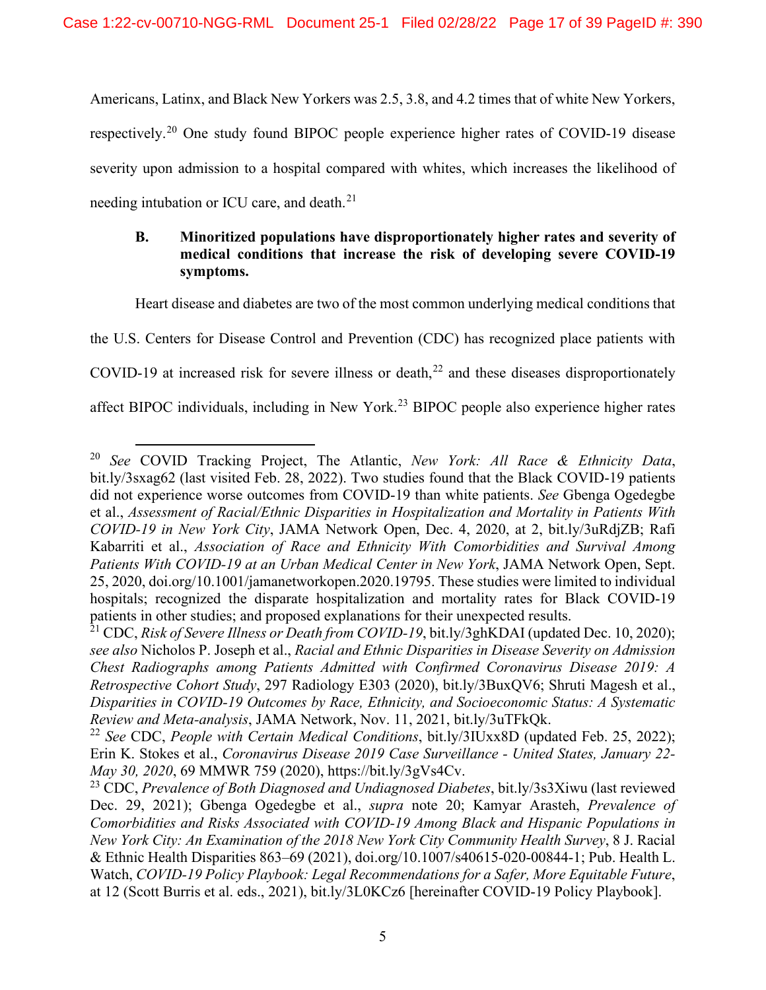Americans, Latinx, and Black New Yorkers was 2.5, 3.8, and 4.2 times that of white New Yorkers, respectively.[20](#page-16-0) One study found BIPOC people experience higher rates of COVID-19 disease severity upon admission to a hospital compared with whites, which increases the likelihood of needing intubation or ICU care, and death.<sup>[21](#page-16-1)</sup>

## **B. Minoritized populations have disproportionately higher rates and severity of medical conditions that increase the risk of developing severe COVID-19 symptoms.**

Heart disease and diabetes are two of the most common underlying medical conditions that

the U.S. Centers for Disease Control and Prevention (CDC) has recognized place patients with COVID-19 at increased risk for severe illness or death, $^{22}$  $^{22}$  $^{22}$  and these diseases disproportionately affect BIPOC individuals, including in New York.<sup>[23](#page-16-3)</sup> BIPOC people also experience higher rates

<span id="page-16-0"></span><sup>20</sup> *See* COVID Tracking Project, The Atlantic, *New York: All Race & Ethnicity Data*, bit.ly/3sxag62 (last visited Feb. 28, 2022). Two studies found that the Black COVID-19 patients did not experience worse outcomes from COVID-19 than white patients. *See* Gbenga Ogedegbe et al., *Assessment of Racial/Ethnic Disparities in Hospitalization and Mortality in Patients With COVID-19 in New York City*, JAMA Network Open, Dec. 4, 2020, at 2, bit.ly/3uRdjZB; Rafi Kabarriti et al., *Association of Race and Ethnicity With Comorbidities and Survival Among Patients With COVID-19 at an Urban Medical Center in New York*, JAMA Network Open, Sept. 25, 2020, doi.org/10.1001/jamanetworkopen.2020.19795. These studies were limited to individual hospitals; recognized the disparate hospitalization and mortality rates for Black COVID-19 patients in other studies; and proposed explanations for their unexpected results.

<span id="page-16-1"></span><sup>21</sup> CDC, *Risk of Severe Illness or Death from COVID-19*, bit.ly/3ghKDAI (updated Dec. 10, 2020); *see also* Nicholos P. Joseph et al., *Racial and Ethnic Disparities in Disease Severity on Admission Chest Radiographs among Patients Admitted with Confirmed Coronavirus Disease 2019: A Retrospective Cohort Study*, 297 Radiology E303 (2020), bit.ly/3BuxQV6; Shruti Magesh et al., *Disparities in COVID-19 Outcomes by Race, Ethnicity, and Socioeconomic Status: A Systematic Review and Meta-analysis*, JAMA Network, Nov. 11, 2021, bit.ly/3uTFkQk.

<span id="page-16-2"></span><sup>22</sup> *See* CDC, *People with Certain Medical Conditions*, bit.ly/3IUxx8D (updated Feb. 25, 2022); Erin K. Stokes et al., *Coronavirus Disease 2019 Case Surveillance - United States, January 22- May 30, 2020*, 69 MMWR 759 (2020), [https://bit.ly/3gVs4Cv.](https://bit.ly/3gVs4Cv)

<span id="page-16-3"></span><sup>23</sup> CDC, *Prevalence of Both Diagnosed and Undiagnosed Diabetes*, bit.ly/3s3Xiwu (last reviewed Dec. 29, 2021); Gbenga Ogedegbe et al., *supra* note 20; Kamyar Arasteh, *Prevalence of Comorbidities and Risks Associated with COVID-19 Among Black and Hispanic Populations in New York City: An Examination of the 2018 New York City Community Health Survey*, 8 J. Racial & Ethnic Health Disparities 863–69 (2021), doi.org/10.1007/s40615-020-00844-1; Pub. Health L. Watch, *COVID-19 Policy Playbook: Legal Recommendations for a Safer, More Equitable Future*, at 12 (Scott Burris et al. eds., 2021), bit.ly/3L0KCz6 [hereinafter COVID-19 Policy Playbook].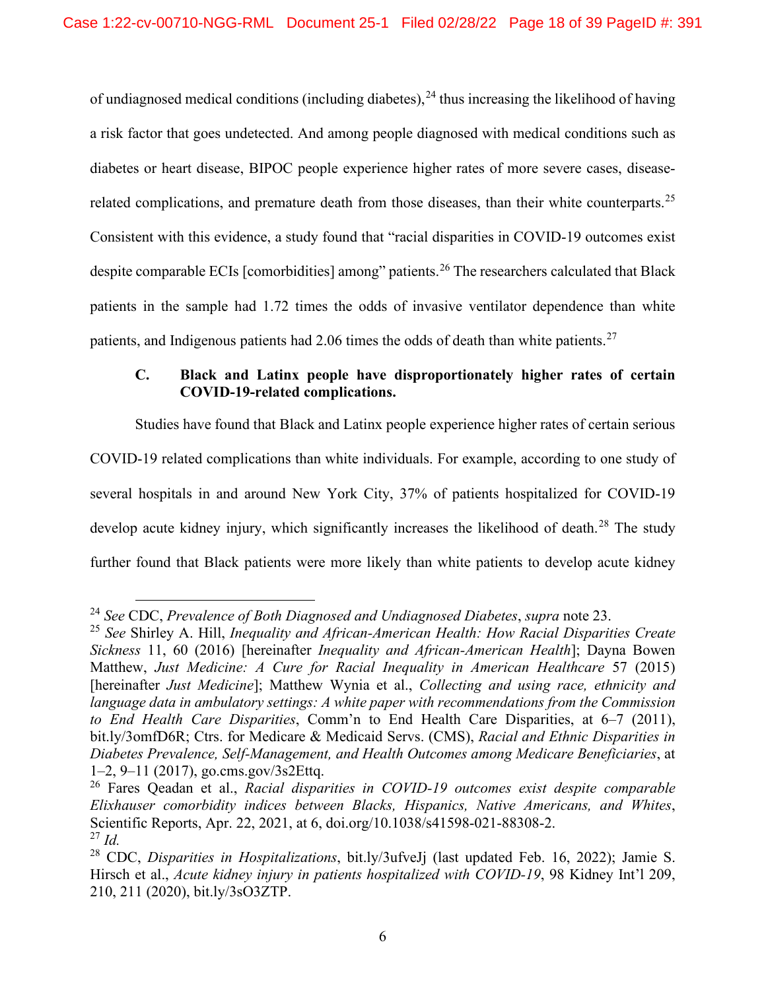of undiagnosed medical conditions (including diabetes), <sup>[24](#page-17-0)</sup> thus increasing the likelihood of having a risk factor that goes undetected. And among people diagnosed with medical conditions such as diabetes or heart disease, BIPOC people experience higher rates of more severe cases, disease-related complications, and premature death from those diseases, than their white counterparts.<sup>[25](#page-17-1)</sup> Consistent with this evidence, a study found that "racial disparities in COVID-19 outcomes exist despite comparable ECIs [comorbidities] among" patients.<sup>[26](#page-17-2)</sup> The researchers calculated that Black patients in the sample had 1.72 times the odds of invasive ventilator dependence than white patients, and Indigenous patients had 2.06 times the odds of death than white patients.<sup>[27](#page-17-3)</sup>

# **C. Black and Latinx people have disproportionately higher rates of certain COVID-19-related complications.**

Studies have found that Black and Latinx people experience higher rates of certain serious COVID-19 related complications than white individuals. For example, according to one study of several hospitals in and around New York City, 37% of patients hospitalized for COVID-19 develop acute kidney injury, which significantly increases the likelihood of death.<sup>[28](#page-17-4)</sup> The study further found that Black patients were more likely than white patients to develop acute kidney

<span id="page-17-0"></span><sup>24</sup> *See* CDC, *Prevalence of Both Diagnosed and Undiagnosed Diabetes*, *supra* note 23.

<span id="page-17-1"></span><sup>25</sup> *See* Shirley A. Hill, *Inequality and African-American Health: How Racial Disparities Create Sickness* 11, 60 (2016) [hereinafter *Inequality and African-American Health*]; Dayna Bowen Matthew, *Just Medicine: A Cure for Racial Inequality in American Healthcare* 57 (2015) [hereinafter *Just Medicine*]; Matthew Wynia et al., *Collecting and using race, ethnicity and language data in ambulatory settings: A white paper with recommendations from the Commission to End Health Care Disparities*, Comm'n to End Health Care Disparities, at 6–7 (2011), bit.ly/3omfD6R; Ctrs. for Medicare & Medicaid Servs. (CMS), *Racial and Ethnic Disparities in Diabetes Prevalence, Self-Management, and Health Outcomes among Medicare Beneficiaries*, at 1–2, 9–11 (2017), go.cms.gov/3s2Ettq.

<span id="page-17-2"></span><sup>26</sup> Fares Qeadan et al., *Racial disparities in COVID-19 outcomes exist despite comparable Elixhauser comorbidity indices between Blacks, Hispanics, Native Americans, and Whites*, Scientific Reports, Apr. 22, 2021, at 6, doi.org/10.1038/s41598-021-88308-2. <sup>27</sup> *Id.*

<span id="page-17-4"></span><span id="page-17-3"></span><sup>28</sup> CDC, *Disparities in Hospitalizations*, bit.ly/3ufveJj (last updated Feb. 16, 2022); Jamie S. Hirsch et al., *Acute kidney injury in patients hospitalized with COVID-19*, 98 Kidney Int'l 209, 210, 211 (2020), bit.ly/3sO3ZTP.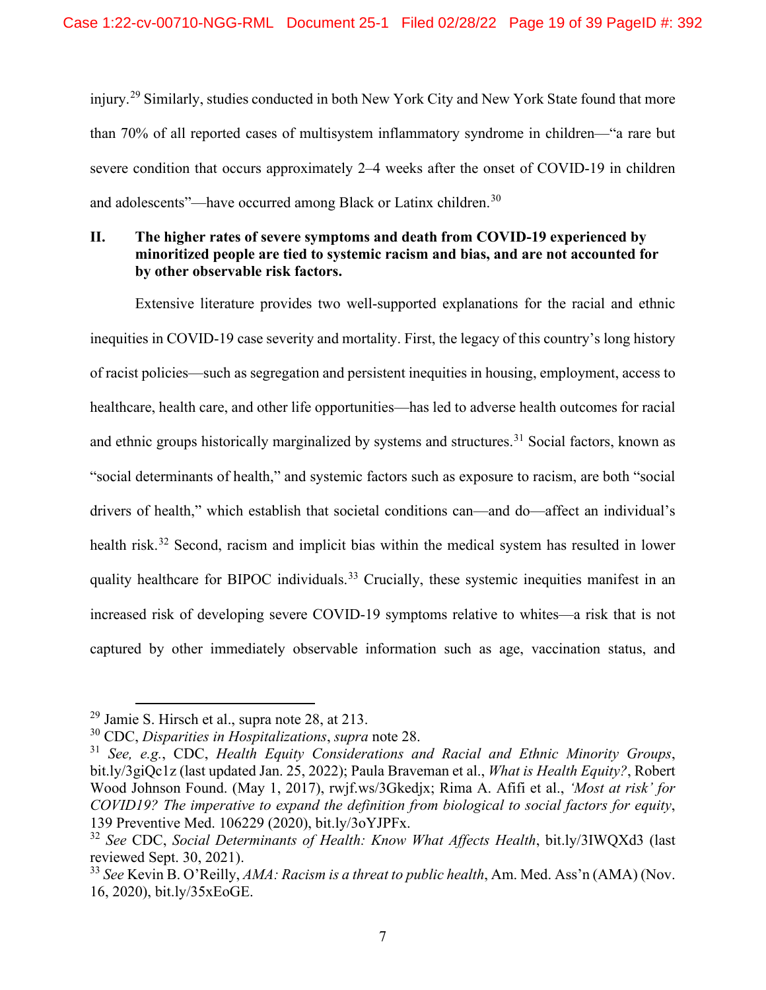injury.[29](#page-18-0) Similarly, studies conducted in both New York City and New York State found that more than 70% of all reported cases of multisystem inflammatory syndrome in children—"a rare but severe condition that occurs approximately 2–4 weeks after the onset of COVID-19 in children and adolescents"—have occurred among Black or Latinx children.<sup>[30](#page-18-1)</sup>

## **II. The higher rates of severe symptoms and death from COVID-19 experienced by minoritized people are tied to systemic racism and bias, and are not accounted for by other observable risk factors.**

Extensive literature provides two well-supported explanations for the racial and ethnic inequities in COVID-19 case severity and mortality. First, the legacy of this country's long history of racist policies—such as segregation and persistent inequities in housing, employment, access to healthcare, health care, and other life opportunities—has led to adverse health outcomes for racial and ethnic groups historically marginalized by systems and structures.<sup>[31](#page-18-2)</sup> Social factors, known as "social determinants of health," and systemic factors such as exposure to racism, are both "social drivers of health," which establish that societal conditions can—and do—affect an individual's health risk.<sup>[32](#page-18-3)</sup> Second, racism and implicit bias within the medical system has resulted in lower quality healthcare for BIPOC individuals.<sup>[33](#page-18-4)</sup> Crucially, these systemic inequities manifest in an increased risk of developing severe COVID-19 symptoms relative to whites—a risk that is not captured by other immediately observable information such as age, vaccination status, and

<span id="page-18-0"></span><sup>29</sup> Jamie S. Hirsch et al., supra note 28, at 213.

<span id="page-18-1"></span><sup>30</sup> CDC, *Disparities in Hospitalizations*, *supra* note 28.

<span id="page-18-2"></span><sup>31</sup> *See, e.g.*, CDC, *Health Equity Considerations and Racial and Ethnic Minority Groups*, bit.ly/3giQc1z (last updated Jan. 25, 2022); Paula Braveman et al., *What is Health Equity?*, Robert Wood Johnson Found. (May 1, 2017), rwjf.ws/3Gkedjx; Rima A. Afifi et al., *'Most at risk' for COVID19? The imperative to expand the definition from biological to social factors for equity*, 139 Preventive Med. 106229 (2020), bit.ly/3oYJPFx.

<span id="page-18-3"></span><sup>32</sup> *See* CDC, *Social Determinants of Health: Know What Affects Health*, bit.ly/3IWQXd3 (last reviewed Sept. 30, 2021).

<span id="page-18-4"></span><sup>33</sup> *See* Kevin B. O'Reilly, *AMA: Racism is a threat to public health*, Am. Med. Ass'n (AMA) (Nov. 16, 2020), bit.ly/35xEoGE.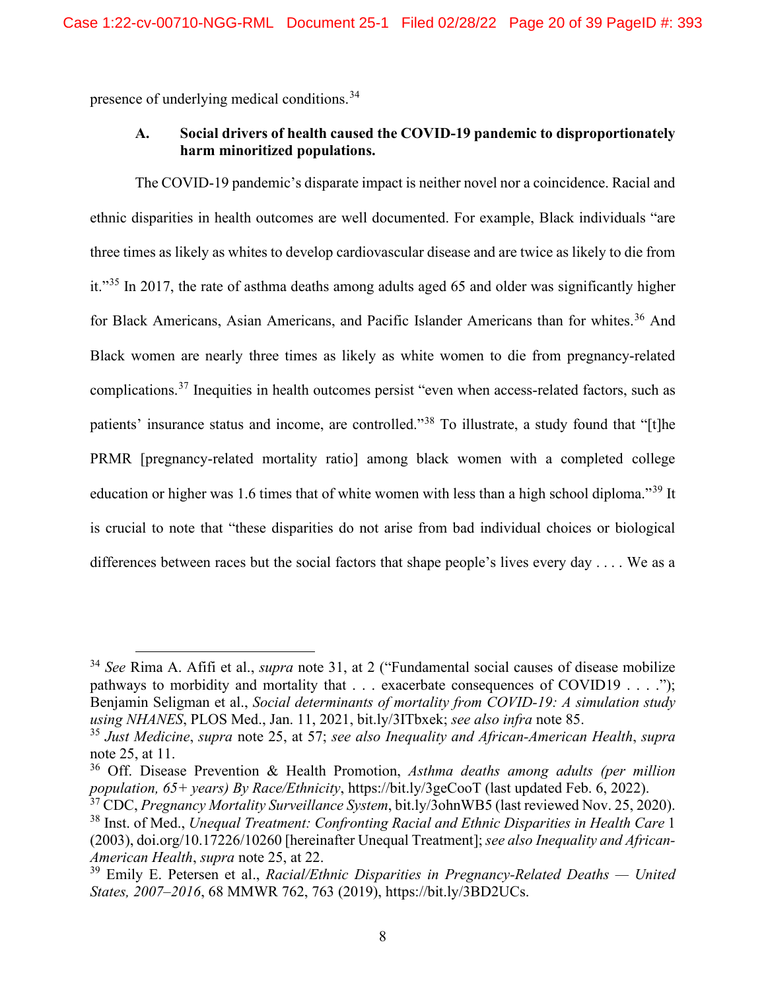presence of underlying medical conditions.[34](#page-19-1)

## **A. Social drivers of health caused the COVID-19 pandemic to disproportionately harm minoritized populations.**

The COVID-19 pandemic's disparate impact is neither novel nor a coincidence. Racial and ethnic disparities in health outcomes are well documented. For example, Black individuals "are three times as likely as whites to develop cardiovascular disease and are twice as likely to die from it."[35](#page-19-2) In 2017, the rate of asthma deaths among adults aged 65 and older was significantly higher for Black Americans, Asian Americans, and Pacific Islander Americans than for whites.<sup>[36](#page-19-3)</sup> And Black women are nearly three times as likely as white women to die from pregnancy-related complications.<sup>[37](#page-19-4)</sup> Inequities in health outcomes persist "even when access-related factors, such as patients' insurance status and income, are controlled."[38](#page-19-5) To illustrate, a study found that "[t]he PRMR [pregnancy-related mortality ratio] among black women with a completed college education or higher was 1.6 times that of white women with less than a high school diploma."[39](#page-19-6) It is crucial to note that "these disparities do not arise from bad individual choices or biological differences between races but the social factors that shape people's lives every day . . . . We as a

<span id="page-19-1"></span><span id="page-19-0"></span><sup>34</sup> *See* Rima A. Afifi et al., *supra* note 31, at 2 ("Fundamental social causes of disease mobilize pathways to morbidity and mortality that . . . exacerbate consequences of COVID19 . . . ."); Benjamin Seligman et al., *Social determinants of mortality from COVID-19: A simulation study using NHANES*, PLOS Med., Jan. 11, 2021, bit.ly/3ITbxek; *see also infra* note 85.

<span id="page-19-2"></span><sup>35</sup> *Just Medicine*, *supra* note 25, at 57; *see also Inequality and African-American Health*, *supra* note 25, at 11.

<span id="page-19-3"></span><sup>36</sup> Off. Disease Prevention & Health Promotion, *Asthma deaths among adults (per million population, 65+ years) By Race/Ethnicity*, https://bit.ly/3geCooT (last updated Feb. 6, 2022).

<span id="page-19-5"></span><span id="page-19-4"></span><sup>37</sup> CDC, *Pregnancy Mortality Surveillance System*, bit.ly/3ohnWB5 (last reviewed Nov. 25, 2020). <sup>38</sup> Inst. of Med., *Unequal Treatment: Confronting Racial and Ethnic Disparities in Health Care* 1 (2003), doi.org/10.17226/10260 [hereinafter Unequal Treatment]; *see also Inequality and African-American Health*, *supra* note 25, at 22.

<span id="page-19-6"></span><sup>39</sup> Emily E. Petersen et al., *Racial/Ethnic Disparities in Pregnancy-Related Deaths — United States, 2007–2016*, 68 MMWR 762, 763 (2019), https://bit.ly/3BD2UCs.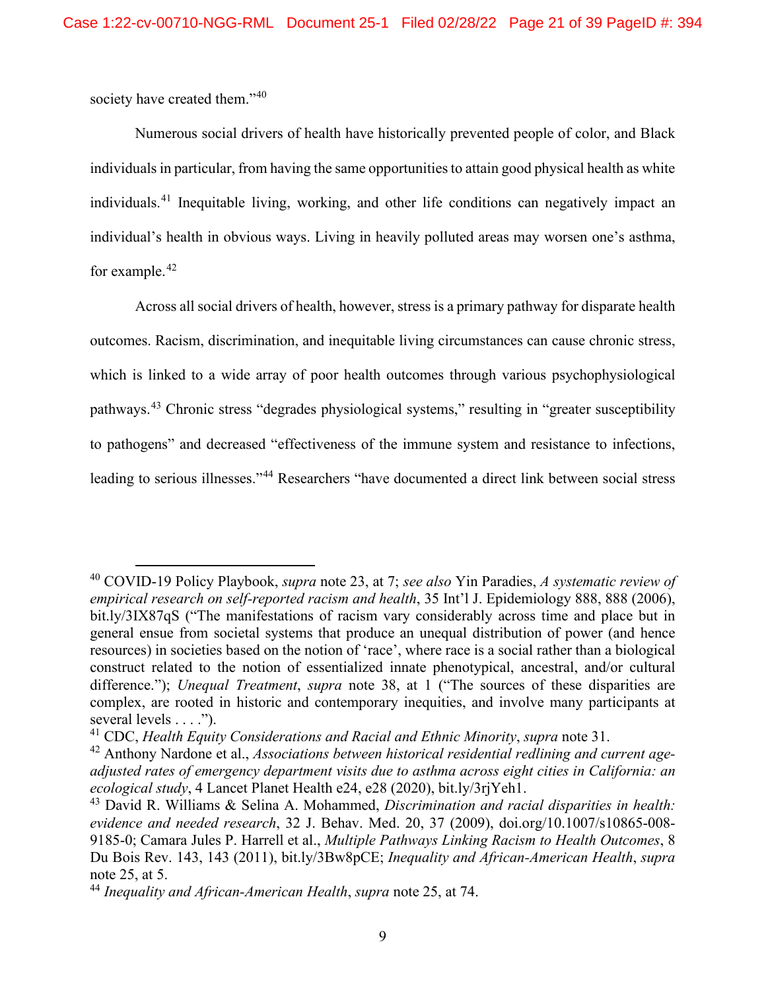society have created them."<sup>[40](#page-20-0)</sup>

Numerous social drivers of health have historically prevented people of color, and Black individuals in particular, from having the same opportunities to attain good physical health as white individuals. [41](#page-20-1) Inequitable living, working, and other life conditions can negatively impact an individual's health in obvious ways. Living in heavily polluted areas may worsen one's asthma, for example.<sup>[42](#page-20-2)</sup>

Across all social drivers of health, however, stress is a primary pathway for disparate health outcomes. Racism, discrimination, and inequitable living circumstances can cause chronic stress, which is linked to a wide array of poor health outcomes through various psychophysiological pathways.[43](#page-20-3) Chronic stress "degrades physiological systems," resulting in "greater susceptibility to pathogens" and decreased "effectiveness of the immune system and resistance to infections, leading to serious illnesses."<sup>[44](#page-20-4)</sup> Researchers "have documented a direct link between social stress

<span id="page-20-0"></span><sup>40</sup> COVID-19 Policy Playbook, *supra* note 23, at 7; *see also* Yin Paradies, *A systematic review of empirical research on self-reported racism and health*, 35 Int'l J. Epidemiology 888, 888 (2006), bit.ly/3IX87qS ("The manifestations of racism vary considerably across time and place but in general ensue from societal systems that produce an unequal distribution of power (and hence resources) in societies based on the notion of 'race', where race is a social rather than a biological construct related to the notion of essentialized innate phenotypical, ancestral, and/or cultural difference."); *Unequal Treatment*, *supra* note 38, at 1 ("The sources of these disparities are complex, are rooted in historic and contemporary inequities, and involve many participants at several levels . . . .").

<span id="page-20-1"></span><sup>41</sup> CDC, *Health Equity Considerations and Racial and Ethnic Minority*, *supra* note 31.

<span id="page-20-2"></span><sup>42</sup> Anthony Nardone et al., *Associations between historical residential redlining and current ageadjusted rates of emergency department visits due to asthma across eight cities in California: an ecological study*, 4 Lancet Planet Health e24, e28 (2020), bit.ly/3rjYeh1.

<span id="page-20-3"></span><sup>43</sup> David R. Williams & Selina A. Mohammed, *Discrimination and racial disparities in health: evidence and needed research*, 32 J. Behav. Med. 20, 37 (2009), doi.org/10.1007/s10865-008- 9185-0; Camara Jules P. Harrell et al., *Multiple Pathways Linking Racism to Health Outcomes*, 8 Du Bois Rev. 143, 143 (2011), bit.ly/3Bw8pCE; *Inequality and African-American Health*, *supra* note 25, at 5.

<span id="page-20-4"></span><sup>44</sup> *Inequality and African-American Health*, *supra* note 25, at 74.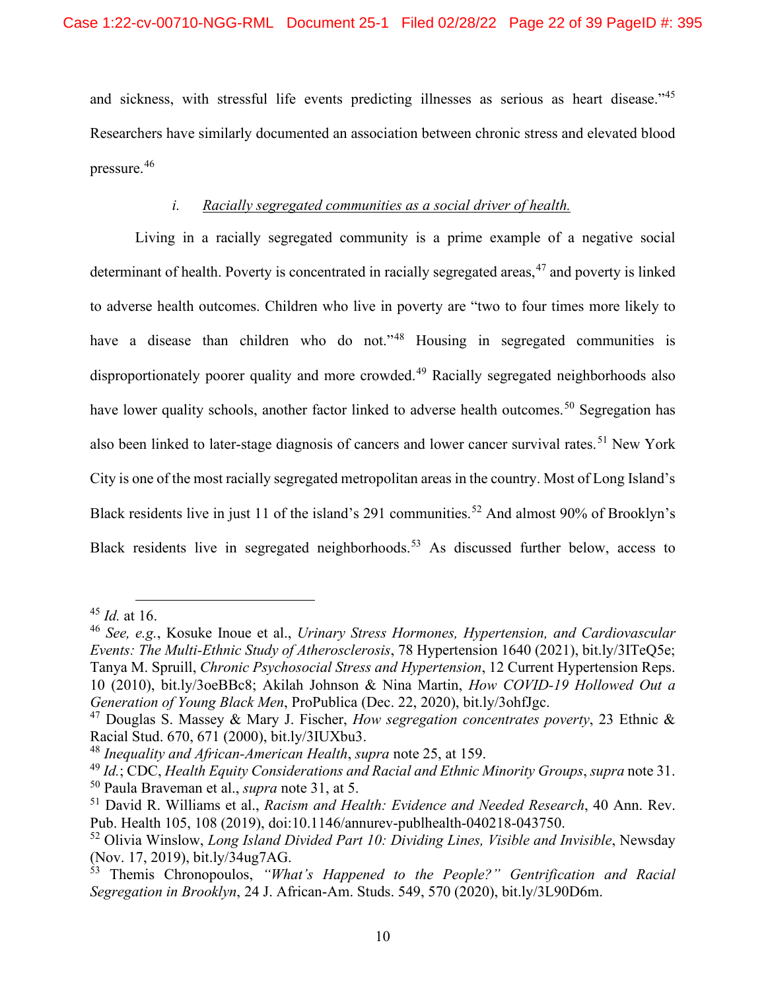and sickness, with stressful life events predicting illnesses as serious as heart disease."<sup>[45](#page-21-0)</sup> Researchers have similarly documented an association between chronic stress and elevated blood pressure.[46](#page-21-1)

### *i. Racially segregated communities as a social driver of health.*

Living in a racially segregated community is a prime example of a negative social determinant of health. Poverty is concentrated in racially segregated areas,<sup>[47](#page-21-2)</sup> and poverty is linked to adverse health outcomes. Children who live in poverty are "two to four times more likely to have a disease than children who do not."<sup>[48](#page-21-3)</sup> Housing in segregated communities is disproportionately poorer quality and more crowded.<sup>[49](#page-21-4)</sup> Racially segregated neighborhoods also have lower quality schools, another factor linked to adverse health outcomes.<sup>[50](#page-21-5)</sup> Segregation has also been linked to later-stage diagnosis of cancers and lower cancer survival rates.<sup>[51](#page-21-6)</sup> New York City is one of the most racially segregated metropolitan areas in the country. Most of Long Island's Black residents live in just 11 of the island's 291 communities.<sup>[52](#page-21-7)</sup> And almost 90% of Brooklyn's Black residents live in segregated neighborhoods.<sup>[53](#page-21-8)</sup> As discussed further below, access to

<span id="page-21-0"></span><sup>45</sup> *Id.* at 16.

<span id="page-21-1"></span><sup>46</sup> *See, e.g.*, Kosuke Inoue et al., *Urinary Stress Hormones, Hypertension, and Cardiovascular Events: The Multi-Ethnic Study of Atherosclerosis*, 78 Hypertension 1640 (2021), bit.ly/3ITeQ5e; Tanya M. Spruill, *Chronic Psychosocial Stress and Hypertension*, 12 Current Hypertension Reps. 10 (2010), bit.ly/3oeBBc8; Akilah Johnson & Nina Martin, *How COVID-19 Hollowed Out a Generation of Young Black Men*, ProPublica (Dec. 22, 2020), bit.ly/3ohfJgc.

<span id="page-21-2"></span><sup>47</sup> Douglas S. Massey & Mary J. Fischer, *How segregation concentrates poverty*, 23 Ethnic & Racial Stud. 670, 671 (2000), bit.ly/3IUXbu3.

<span id="page-21-3"></span><sup>48</sup> *Inequality and African-American Health*, *supra* note 25, at 159.

<span id="page-21-5"></span><span id="page-21-4"></span><sup>49</sup> *Id.*; CDC, *Health Equity Considerations and Racial and Ethnic Minority Groups*, *supra* note 31. <sup>50</sup> Paula Braveman et al., *supra* note 31, at 5.

<span id="page-21-6"></span><sup>51</sup> David R. Williams et al., *Racism and Health: Evidence and Needed Research*, 40 Ann. Rev. Pub. Health 105, 108 (2019), doi:10.1146/annurev-publhealth-040218-043750.

<span id="page-21-7"></span><sup>52</sup> Olivia Winslow, *Long Island Divided Part 10: Dividing Lines, Visible and Invisible*, Newsday (Nov. 17, 2019), bit.ly/34ug7AG.

<span id="page-21-8"></span><sup>53</sup> Themis Chronopoulos, *"What's Happened to the People?" Gentrification and Racial Segregation in Brooklyn*, 24 J. African-Am. Studs. 549, 570 (2020), bit.ly/3L90D6m.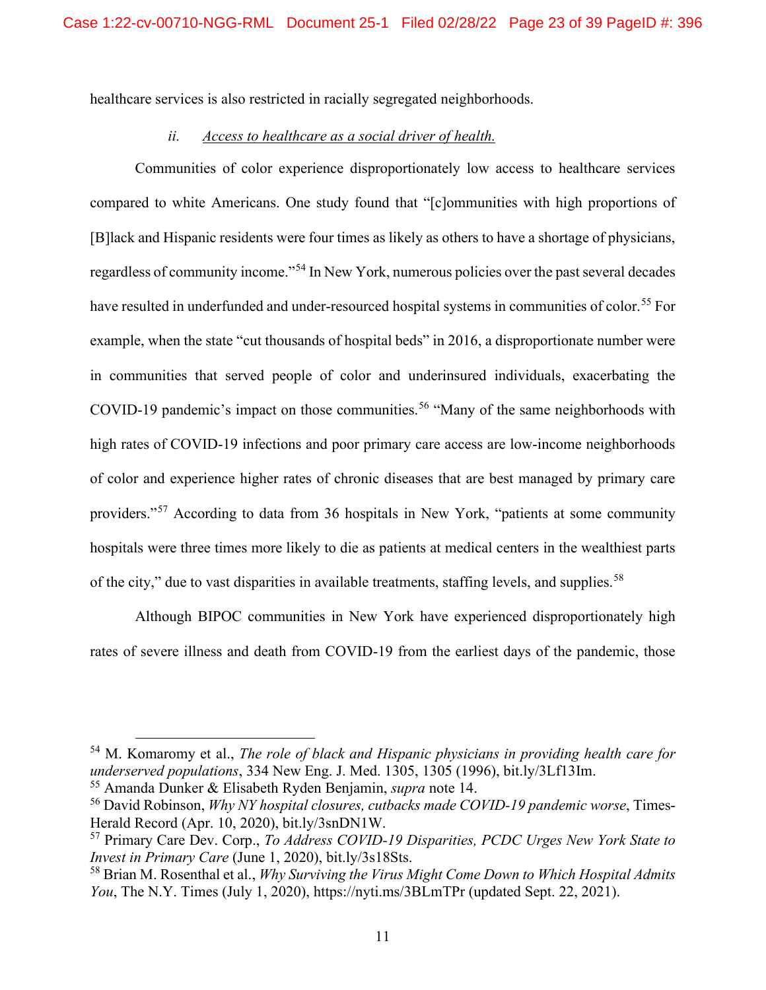healthcare services is also restricted in racially segregated neighborhoods.

#### *ii. Access to healthcare as a social driver of health.*

Communities of color experience disproportionately low access to healthcare services compared to white Americans. One study found that "[c]ommunities with high proportions of [B]lack and Hispanic residents were four times as likely as others to have a shortage of physicians, regardless of community income."[54](#page-22-1) In New York, numerous policies over the past several decades have resulted in underfunded and under-resourced hospital systems in communities of color.<sup>[55](#page-22-2)</sup> For example, when the state "cut thousands of hospital beds" in 2016, a disproportionate number were in communities that served people of color and underinsured individuals, exacerbating the COVID-19 pandemic's impact on those communities.<sup>[56](#page-22-3)</sup> "Many of the same neighborhoods with high rates of COVID-19 infections and poor primary care access are low-income neighborhoods of color and experience higher rates of chronic diseases that are best managed by primary care providers."[57](#page-22-4) According to data from 36 hospitals in New York, "patients at some community hospitals were three times more likely to die as patients at medical centers in the wealthiest parts of the city," due to vast disparities in available treatments, staffing levels, and supplies.<sup>[58](#page-22-5)</sup>

Although BIPOC communities in New York have experienced disproportionately high rates of severe illness and death from COVID-19 from the earliest days of the pandemic, those

<span id="page-22-1"></span><sup>54</sup> M. Komaromy et al., *The role of black and Hispanic physicians in providing health care for underserved populations*, 334 New Eng. J. Med. 1305, 1305 (1996), bit.ly/3Lf13Im.

<span id="page-22-2"></span><span id="page-22-0"></span><sup>55</sup> Amanda Dunker & Elisabeth Ryden Benjamin, *supra* note 14.

<span id="page-22-3"></span><sup>56</sup> David Robinson, *Why NY hospital closures, cutbacks made COVID-19 pandemic worse*, Times-Herald Record (Apr. 10, 2020), bit.ly/3snDN1W.

<span id="page-22-4"></span><sup>57</sup> Primary Care Dev. Corp., *To Address COVID-19 Disparities, PCDC Urges New York State to Invest in Primary Care* (June 1, 2020), bit.ly/3s18Sts.

<span id="page-22-5"></span><sup>58</sup> Brian M. Rosenthal et al., *Why Surviving the Virus Might Come Down to Which Hospital Admits You*, The N.Y. Times (July 1, 2020), https://nyti.ms/3BLmTPr (updated Sept. 22, 2021).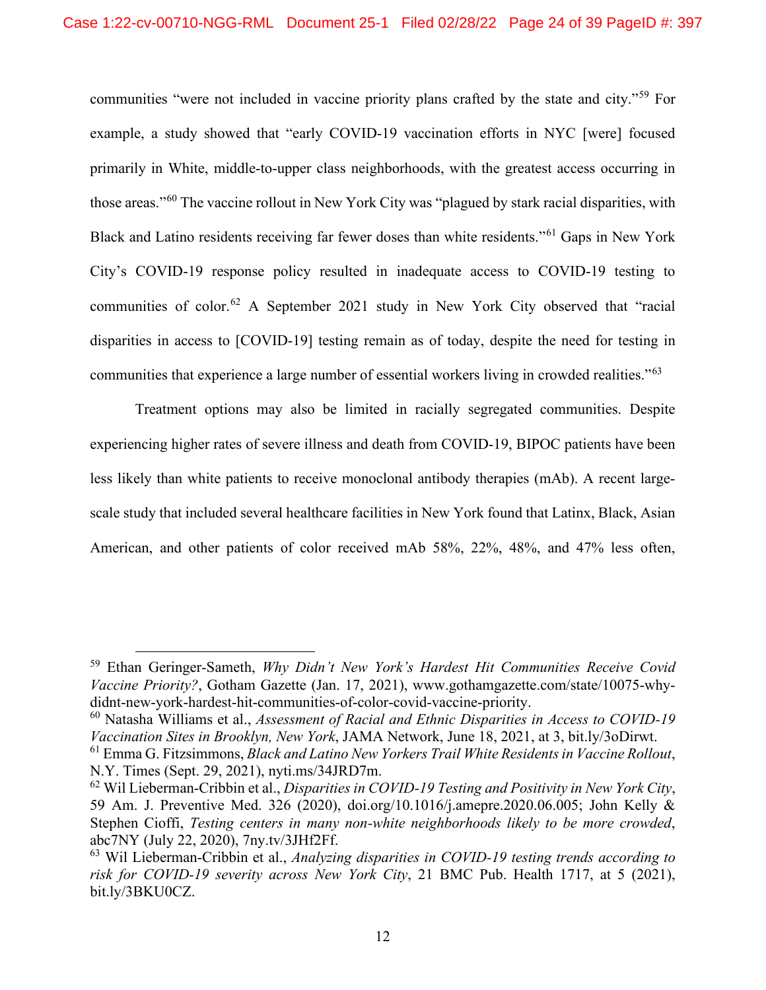communities "were not included in vaccine priority plans crafted by the state and city."[59](#page-23-0) For example, a study showed that "early COVID-19 vaccination efforts in NYC [were] focused primarily in White, middle-to-upper class neighborhoods, with the greatest access occurring in those areas."[60](#page-23-1) The vaccine rollout in New York City was "plagued by stark racial disparities, with Black and Latino residents receiving far fewer doses than white residents."[61](#page-23-2) Gaps in New York City's COVID-19 response policy resulted in inadequate access to COVID-19 testing to communities of color.<sup>[62](#page-23-3)</sup> A September 2021 study in New York City observed that "racial disparities in access to [COVID-19] testing remain as of today, despite the need for testing in communities that experience a large number of essential workers living in crowded realities."[63](#page-23-4)

Treatment options may also be limited in racially segregated communities. Despite experiencing higher rates of severe illness and death from COVID-19, BIPOC patients have been less likely than white patients to receive monoclonal antibody therapies (mAb). A recent largescale study that included several healthcare facilities in New York found that Latinx, Black, Asian American, and other patients of color received mAb 58%, 22%, 48%, and 47% less often,

<span id="page-23-0"></span><sup>59</sup> Ethan Geringer-Sameth, *Why Didn't New York's Hardest Hit Communities Receive Covid Vaccine Priority?*, Gotham Gazette (Jan. 17, 2021), www.gothamgazette.com/state/10075-whydidnt-new-york-hardest-hit-communities-of-color-covid-vaccine-priority.

<span id="page-23-1"></span><sup>60</sup> Natasha Williams et al., *Assessment of Racial and Ethnic Disparities in Access to COVID-19 Vaccination Sites in Brooklyn, New York*, JAMA Network, June 18, 2021, at 3, bit.ly/3oDirwt.

<span id="page-23-2"></span><sup>61</sup> Emma G. Fitzsimmons, *Black and Latino New Yorkers Trail White Residents in Vaccine Rollout*, N.Y. Times (Sept. 29, 2021), nyti.ms/34JRD7m.

<span id="page-23-3"></span><sup>62</sup> Wil Lieberman-Cribbin et al., *Disparities in COVID-19 Testing and Positivity in New York City*, 59 Am. J. Preventive Med. 326 (2020), doi.org/10.1016/j.amepre.2020.06.005; John Kelly & Stephen Cioffi, *Testing centers in many non-white neighborhoods likely to be more crowded*, abc7NY (July 22, 2020), 7ny.tv/3JHf2Ff.

<span id="page-23-4"></span><sup>63</sup> Wil Lieberman-Cribbin et al., *Analyzing disparities in COVID-19 testing trends according to risk for COVID-19 severity across New York City*, 21 BMC Pub. Health 1717, at 5 (2021), bit.ly/3BKU0CZ.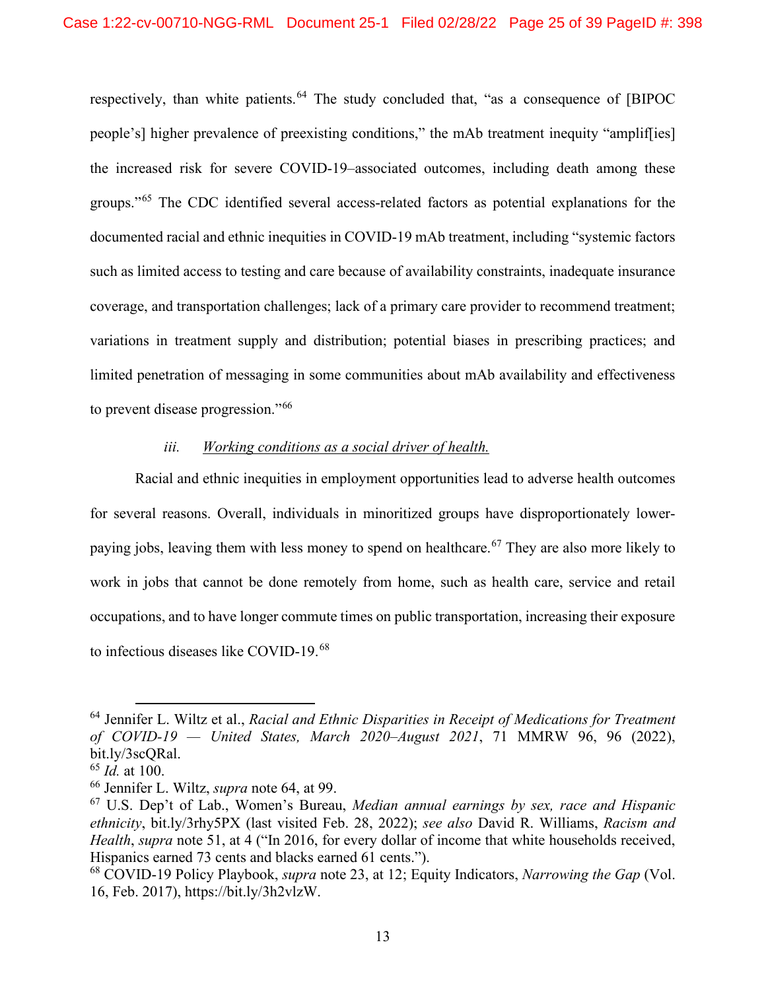respectively, than white patients.<sup>[64](#page-24-0)</sup> The study concluded that, "as a consequence of [BIPOC] people's] higher prevalence of preexisting conditions," the mAb treatment inequity "amplif[ies] the increased risk for severe COVID-19–associated outcomes, including death among these groups."<sup>[65](#page-24-1)</sup> The CDC identified several access-related factors as potential explanations for the documented racial and ethnic inequities in COVID-19 mAb treatment, including "systemic factors such as limited access to testing and care because of availability constraints, inadequate insurance coverage, and transportation challenges; lack of a primary care provider to recommend treatment; variations in treatment supply and distribution; potential biases in prescribing practices; and limited penetration of messaging in some communities about mAb availability and effectiveness to prevent disease progression."[66](#page-24-2)

#### *iii. Working conditions as a social driver of health.*

Racial and ethnic inequities in employment opportunities lead to adverse health outcomes for several reasons. Overall, individuals in minoritized groups have disproportionately lower-paying jobs, leaving them with less money to spend on healthcare.<sup>[67](#page-24-3)</sup> They are also more likely to work in jobs that cannot be done remotely from home, such as health care, service and retail occupations, and to have longer commute times on public transportation, increasing their exposure to infectious diseases like COVID-19. [68](#page-24-4)

<span id="page-24-0"></span><sup>64</sup> Jennifer L. Wiltz et al., *Racial and Ethnic Disparities in Receipt of Medications for Treatment of COVID-19 — United States, March 2020–August 2021*, 71 MMRW 96, 96 (2022), bit.ly/3scQRal.

<span id="page-24-1"></span><sup>65</sup> *Id.* at 100.

<span id="page-24-2"></span><sup>66</sup> Jennifer L. Wiltz, *supra* note 64, at 99.

<span id="page-24-3"></span><sup>67</sup> U.S. Dep't of Lab., Women's Bureau, *Median annual earnings by sex, race and Hispanic ethnicity*, bit.ly/3rhy5PX (last visited Feb. 28, 2022); *see also* David R. Williams, *Racism and Health*, *supra* note 51, at 4 ("In 2016, for every dollar of income that white households received, Hispanics earned 73 cents and blacks earned 61 cents.").

<span id="page-24-4"></span><sup>68</sup> COVID-19 Policy Playbook, *supra* note 23, at 12; Equity Indicators, *Narrowing the Gap* (Vol. 16, Feb. 2017), https://bit.ly/3h2vlzW.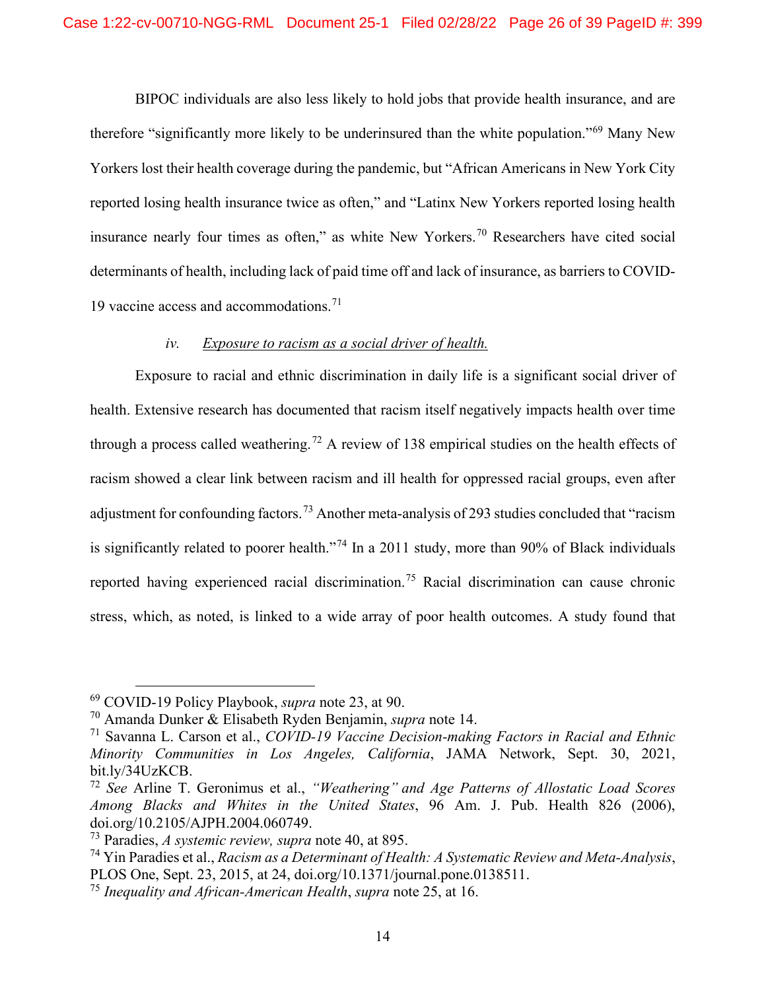BIPOC individuals are also less likely to hold jobs that provide health insurance, and are therefore "significantly more likely to be underinsured than the white population."[69](#page-25-1) Many New Yorkers lost their health coverage during the pandemic, but "African Americans in New York City reported losing health insurance twice as often," and "Latinx New Yorkers reported losing health insurance nearly four times as often," as white New Yorkers.[70](#page-25-2) Researchers have cited social determinants of health, including lack of paid time off and lack of insurance, as barriers to COVID-19 vaccine access and accommodations.<sup>[71](#page-25-3)</sup>

#### *iv. Exposure to racism as a social driver of health.*

Exposure to racial and ethnic discrimination in daily life is a significant social driver of health. Extensive research has documented that racism itself negatively impacts health over time through a process called weathering.<sup>[72](#page-25-4)</sup> A review of 138 empirical studies on the health effects of racism showed a clear link between racism and ill health for oppressed racial groups, even after adjustment for confounding factors.<sup>[73](#page-25-5)</sup> Another meta-analysis of 293 studies concluded that "racism" is significantly related to poorer health."<sup>[74](#page-25-6)</sup> In a 2011 study, more than 90% of Black individuals reported having experienced racial discrimination.<sup>[75](#page-25-7)</sup> Racial discrimination can cause chronic stress, which, as noted, is linked to a wide array of poor health outcomes. A study found that

<span id="page-25-1"></span><sup>69</sup> COVID-19 Policy Playbook, *supra* note 23, at 90.

<span id="page-25-2"></span><span id="page-25-0"></span><sup>70</sup> Amanda Dunker & Elisabeth Ryden Benjamin, *supra* note 14.

<span id="page-25-3"></span><sup>71</sup> Savanna L. Carson et al., *COVID-19 Vaccine Decision-making Factors in Racial and Ethnic Minority Communities in Los Angeles, California*, JAMA Network, Sept. 30, 2021, bit.ly/34UzKCB.

<span id="page-25-4"></span><sup>72</sup> *See* Arline T. Geronimus et al., *"Weathering" and Age Patterns of Allostatic Load Scores Among Blacks and Whites in the United States*, 96 Am. J. Pub. Health 826 (2006), doi.org/10.2105/AJPH.2004.060749.

<span id="page-25-5"></span><sup>73</sup> Paradies, *A systemic review, supra* note 40, at 895.

<span id="page-25-6"></span><sup>74</sup> Yin Paradies et al., *Racism as a Determinant of Health: A Systematic Review and Meta-Analysis*, PLOS One, Sept. 23, 2015, at 24, doi.org/10.1371/journal.pone.0138511.

<span id="page-25-7"></span><sup>75</sup> *Inequality and African-American Health*, *supra* note 25, at 16.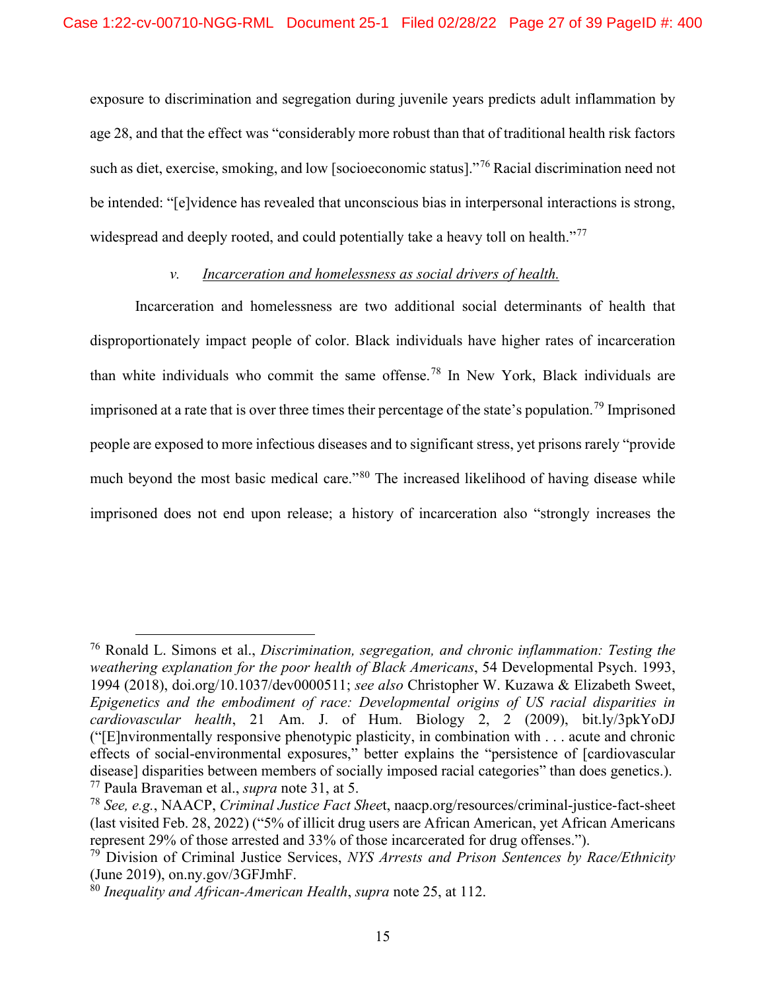exposure to discrimination and segregation during juvenile years predicts adult inflammation by age 28, and that the effect was "considerably more robust than that of traditional health risk factors such as diet, exercise, smoking, and low [socioeconomic status]."[76](#page-26-0) Racial discrimination need not be intended: "[e]vidence has revealed that unconscious bias in interpersonal interactions is strong, widespread and deeply rooted, and could potentially take a heavy toll on health."<sup>[77](#page-26-1)</sup>

#### *v. Incarceration and homelessness as social drivers of health.*

Incarceration and homelessness are two additional social determinants of health that disproportionately impact people of color. Black individuals have higher rates of incarceration than white individuals who commit the same offense.<sup>[78](#page-26-2)</sup> In New York, Black individuals are imprisoned at a rate that is over three times their percentage of the state's population.[79](#page-26-3) Imprisoned people are exposed to more infectious diseases and to significant stress, yet prisons rarely "provide much beyond the most basic medical care."<sup>[80](#page-26-4)</sup> The increased likelihood of having disease while imprisoned does not end upon release; a history of incarceration also "strongly increases the

<span id="page-26-0"></span><sup>76</sup> Ronald L. Simons et al., *Discrimination, segregation, and chronic inflammation: Testing the weathering explanation for the poor health of Black Americans*, 54 Developmental Psych. 1993, 1994 (2018), doi.org/10.1037/dev0000511; *see also* Christopher W. Kuzawa & Elizabeth Sweet, *Epigenetics and the embodiment of race: Developmental origins of US racial disparities in cardiovascular health*, 21 Am. J. of Hum. Biology 2, 2 (2009), bit.ly/3pkYoDJ ("[E]nvironmentally responsive phenotypic plasticity, in combination with . . . acute and chronic effects of social-environmental exposures," better explains the "persistence of [cardiovascular disease] disparities between members of socially imposed racial categories" than does genetics.). <sup>77</sup> Paula Braveman et al., *supra* note 31, at 5.

<span id="page-26-2"></span><span id="page-26-1"></span><sup>78</sup> *See, e.g.*, NAACP, *Criminal Justice Fact Shee*t, naacp.org/resources/criminal-justice-fact-sheet (last visited Feb. 28, 2022) ("5% of illicit drug users are African American, yet African Americans represent 29% of those arrested and 33% of those incarcerated for drug offenses.").

<span id="page-26-3"></span><sup>79</sup> Division of Criminal Justice Services, *NYS Arrests and Prison Sentences by Race/Ethnicity* (June 2019), on.ny.gov/3GFJmhF.

<span id="page-26-4"></span><sup>80</sup> *Inequality and African-American Health*, *supra* note 25, at 112.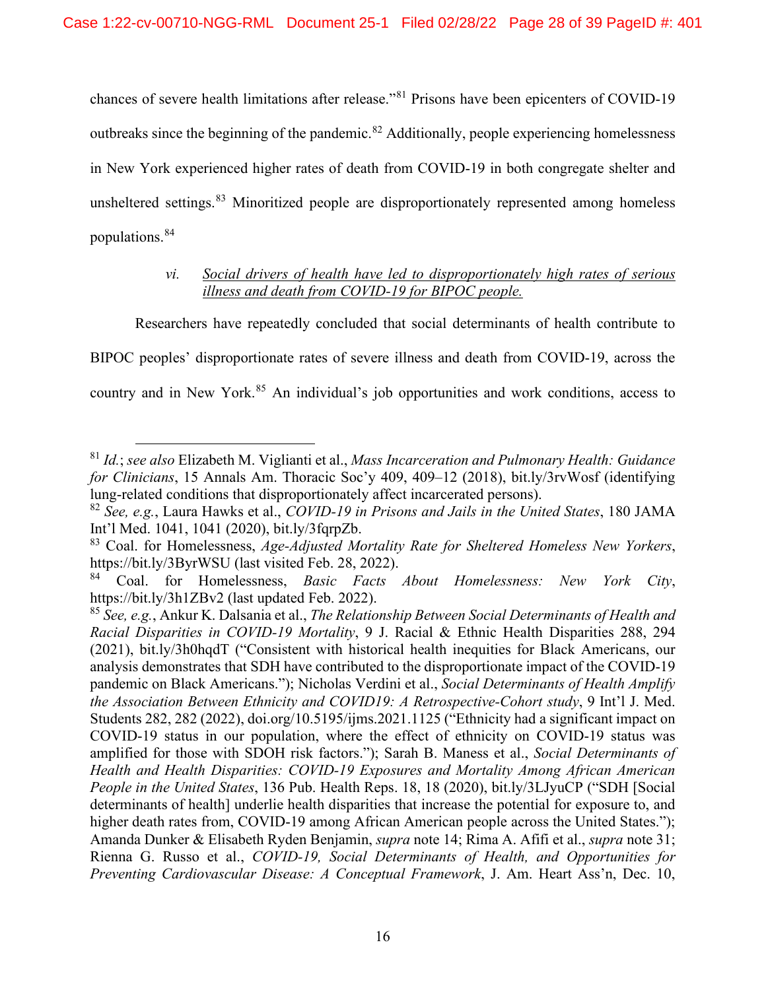chances of severe health limitations after release."[81](#page-27-2) Prisons have been epicenters of COVID-19 outbreaks since the beginning of the pandemic.<sup>[82](#page-27-3)</sup> Additionally, people experiencing homelessness in New York experienced higher rates of death from COVID-19 in both congregate shelter and unsheltered settings.<sup>[83](#page-27-4)</sup> Minoritized people are disproportionately represented among homeless populations.[84](#page-27-5)

## *vi. Social drivers of health have led to disproportionately high rates of serious illness and death from COVID-19 for BIPOC people.*

Researchers have repeatedly concluded that social determinants of health contribute to BIPOC peoples' disproportionate rates of severe illness and death from COVID-19, across the country and in New York.<sup>[85](#page-27-6)</sup> An individual's job opportunities and work conditions, access to

<span id="page-27-2"></span><sup>81</sup> *Id.*; *see also* Elizabeth M. Viglianti et al., *Mass Incarceration and Pulmonary Health: Guidance for Clinicians*, 15 Annals Am. Thoracic Soc'y 409, 409–12 (2018), bit.ly/3rvWosf (identifying lung-related conditions that disproportionately affect incarcerated persons).

<span id="page-27-3"></span><sup>82</sup> *See, e.g.*, Laura Hawks et al., *COVID-19 in Prisons and Jails in the United States*, 180 JAMA Int'l Med. 1041, 1041 (2020), bit.ly/3fqrpZb.

<span id="page-27-4"></span><sup>83</sup> Coal. for Homelessness, *Age-Adjusted Mortality Rate for Sheltered Homeless New Yorkers*, https://bit.ly/3ByrWSU (last visited Feb. 28, 2022).

<span id="page-27-5"></span><sup>84</sup> Coal. for Homelessness, *Basic Facts About Homelessness: New York City*, https://bit.ly/3h1ZBv2 (last updated Feb. 2022).

<span id="page-27-6"></span><span id="page-27-1"></span><span id="page-27-0"></span><sup>85</sup> *See, e.g.*, Ankur K. Dalsania et al., *The Relationship Between Social Determinants of Health and Racial Disparities in COVID-19 Mortality*, 9 J. Racial & Ethnic Health Disparities 288, 294 (2021), bit.ly/3h0hqdT ("Consistent with historical health inequities for Black Americans, our analysis demonstrates that SDH have contributed to the disproportionate impact of the COVID-19 pandemic on Black Americans."); Nicholas Verdini et al., *Social Determinants of Health Amplify the Association Between Ethnicity and COVID19: A Retrospective-Cohort study*, 9 Int'l J. Med. Students 282, 282 (2022), doi.org/10.5195/ijms.2021.1125 ("Ethnicity had a significant impact on COVID-19 status in our population, where the effect of ethnicity on COVID-19 status was amplified for those with SDOH risk factors."); Sarah B. Maness et al., *Social Determinants of Health and Health Disparities: COVID-19 Exposures and Mortality Among African American People in the United States*, 136 Pub. Health Reps. 18, 18 (2020), bit.ly/3LJyuCP ("SDH [Social determinants of health] underlie health disparities that increase the potential for exposure to, and higher death rates from, COVID-19 among African American people across the United States."); Amanda Dunker & Elisabeth Ryden Benjamin, *supra* note 14; Rima A. Afifi et al., *supra* note 31; Rienna G. Russo et al., *COVID-19, Social Determinants of Health, and Opportunities for Preventing Cardiovascular Disease: A Conceptual Framework*, J. Am. Heart Ass'n, Dec. 10,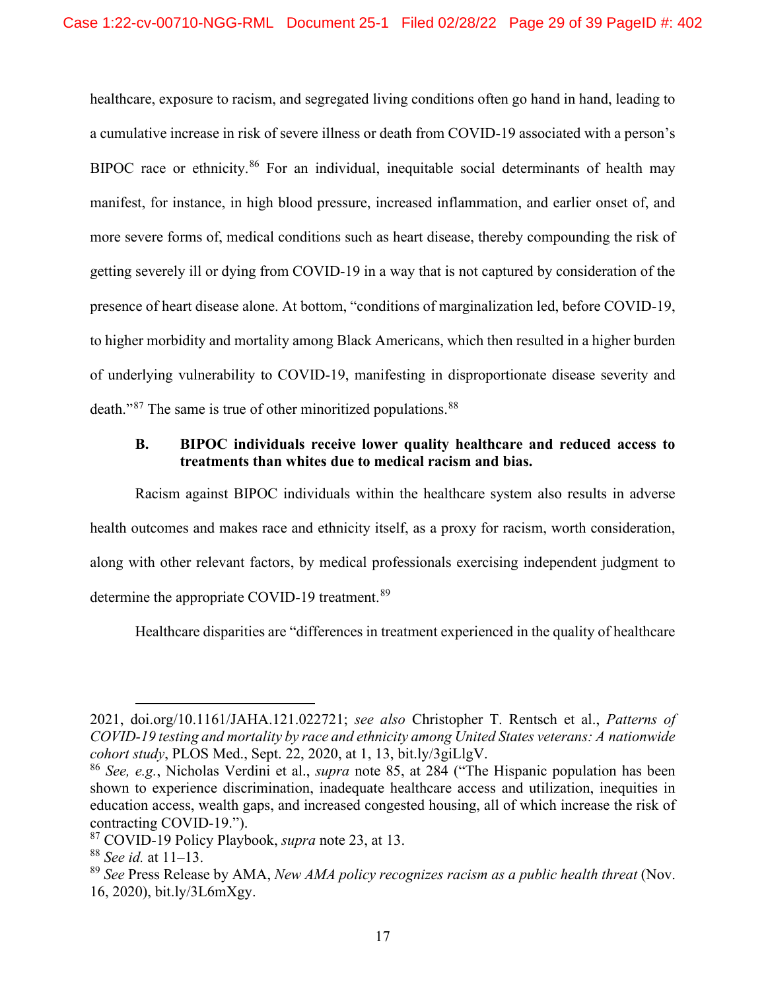healthcare, exposure to racism, and segregated living conditions often go hand in hand, leading to a cumulative increase in risk of severe illness or death from COVID-19 associated with a person's BIPOC race or ethnicity.<sup>[86](#page-28-0)</sup> For an individual, inequitable social determinants of health may manifest, for instance, in high blood pressure, increased inflammation, and earlier onset of, and more severe forms of, medical conditions such as heart disease, thereby compounding the risk of getting severely ill or dying from COVID-19 in a way that is not captured by consideration of the presence of heart disease alone. At bottom, "conditions of marginalization led, before COVID-19, to higher morbidity and mortality among Black Americans, which then resulted in a higher burden of underlying vulnerability to COVID-19, manifesting in disproportionate disease severity and death."<sup>[87](#page-28-1)</sup> The same is true of other minoritized populations.<sup>[88](#page-28-2)</sup>

## **B. BIPOC individuals receive lower quality healthcare and reduced access to treatments than whites due to medical racism and bias.**

Racism against BIPOC individuals within the healthcare system also results in adverse health outcomes and makes race and ethnicity itself, as a proxy for racism, worth consideration, along with other relevant factors, by medical professionals exercising independent judgment to determine the appropriate COVID-19 treatment.<sup>[89](#page-28-3)</sup>

Healthcare disparities are "differences in treatment experienced in the quality of healthcare

<sup>2021,</sup> doi.org/10.1161/JAHA.121.022721; *see also* Christopher T. Rentsch et al., *Patterns of COVID-19 testing and mortality by race and ethnicity among United States veterans: A nationwide cohort study*, PLOS Med., Sept. 22, 2020, at 1, 13, bit.ly/3giLlgV.

<span id="page-28-0"></span><sup>86</sup> *See, e.g.*, Nicholas Verdini et al., *supra* note 85, at 284 ("The Hispanic population has been shown to experience discrimination, inadequate healthcare access and utilization, inequities in education access, wealth gaps, and increased congested housing, all of which increase the risk of contracting COVID-19.").

<span id="page-28-1"></span><sup>87</sup> COVID-19 Policy Playbook, *supra* note 23, at 13.

<span id="page-28-2"></span><sup>88</sup> *See id.* at 11–13.

<span id="page-28-3"></span><sup>89</sup> *See* Press Release by AMA, *New AMA policy recognizes racism as a public health threat* (Nov. 16, 2020), bit.ly/3L6mXgy.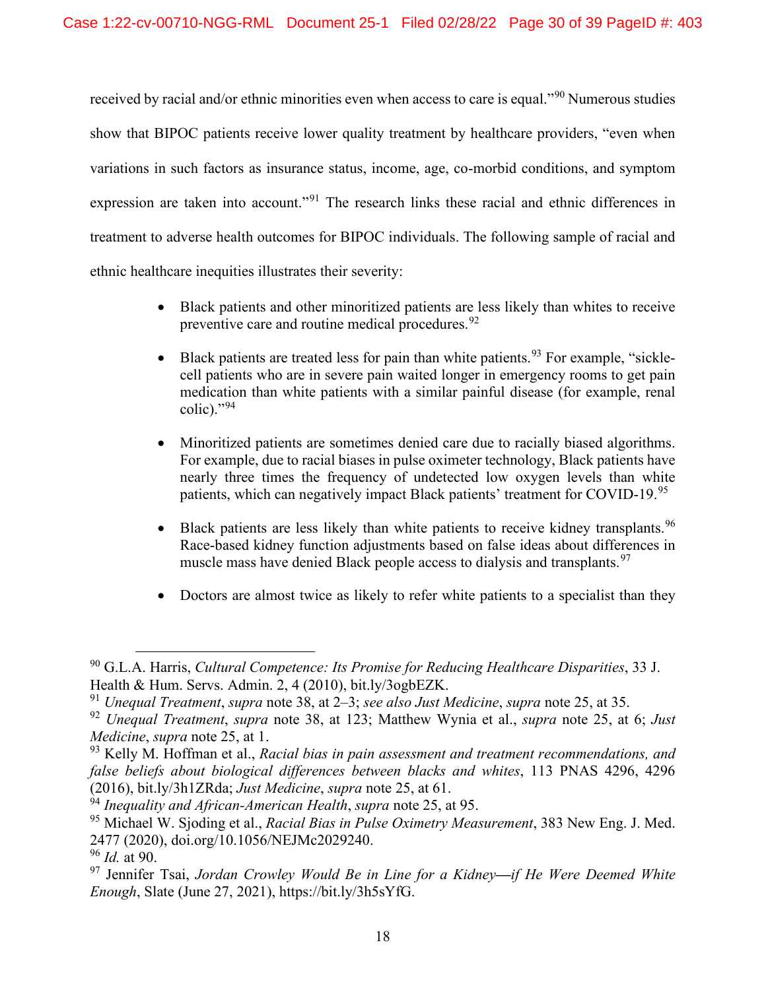received by racial and/or ethnic minorities even when access to care is equal."[90](#page-29-0) Numerous studies show that BIPOC patients receive lower quality treatment by healthcare providers, "even when variations in such factors as insurance status, income, age, co-morbid conditions, and symptom expression are taken into account."<sup>[91](#page-29-1)</sup> The research links these racial and ethnic differences in treatment to adverse health outcomes for BIPOC individuals. The following sample of racial and ethnic healthcare inequities illustrates their severity:

- Black patients and other minoritized patients are less likely than whites to receive preventive care and routine medical procedures.<sup>[92](#page-29-2)</sup>
- Black patients are treated less for pain than white patients.<sup>[93](#page-29-3)</sup> For example, "sicklecell patients who are in severe pain waited longer in emergency rooms to get pain medication than white patients with a similar painful disease (for example, renal  $\text{colic}$ )."[94](#page-29-4)
- Minoritized patients are sometimes denied care due to racially biased algorithms. For example, due to racial biases in pulse oximeter technology, Black patients have nearly three times the frequency of undetected low oxygen levels than white patients, which can negatively impact Black patients' treatment for COVID-19.<sup>[95](#page-29-5)</sup>
- Black patients are less likely than white patients to receive kidney transplants.  $96$ Race-based kidney function adjustments based on false ideas about differences in muscle mass have denied Black people access to dialysis and transplants.<sup>[97](#page-29-7)</sup>
- Doctors are almost twice as likely to refer white patients to a specialist than they

<span id="page-29-0"></span><sup>90</sup> G.L.A. Harris, *Cultural Competence: Its Promise for Reducing Healthcare Disparities*, 33 J. Health & Hum. Servs. Admin. 2, 4 (2010), bit.ly/3ogbEZK.

<span id="page-29-1"></span><sup>91</sup> *Unequal Treatment*, *supra* note 38, at 2–3; *see also Just Medicine*, *supra* note 25, at 35.

<span id="page-29-2"></span><sup>92</sup> *Unequal Treatment*, *supra* note 38, at 123; Matthew Wynia et al., *supra* note 25, at 6; *Just Medicine*, *supra* note 25, at 1.

<span id="page-29-3"></span><sup>93</sup> Kelly M. Hoffman et al., *Racial bias in pain assessment and treatment recommendations, and false beliefs about biological differences between blacks and whites*, 113 PNAS 4296, 4296 (2016), bit.ly/3h1ZRda; *Just Medicine*, *supra* note 25, at 61.

<span id="page-29-4"></span><sup>94</sup> *Inequality and African-American Health*, *supra* note 25, at 95.

<span id="page-29-5"></span><sup>95</sup> Michael W. Sjoding et al., *Racial Bias in Pulse Oximetry Measurement*, 383 New Eng. J. Med. 2477 (2020), doi.org/10.1056/NEJMc2029240.

<sup>96</sup> *Id.* at 90.

<span id="page-29-7"></span><span id="page-29-6"></span><sup>97</sup> Jennifer Tsai, *Jordan Crowley Would Be in Line for a Kidney—if He Were Deemed White Enough*, Slate (June 27, 2021), https://bit.ly/3h5sYfG.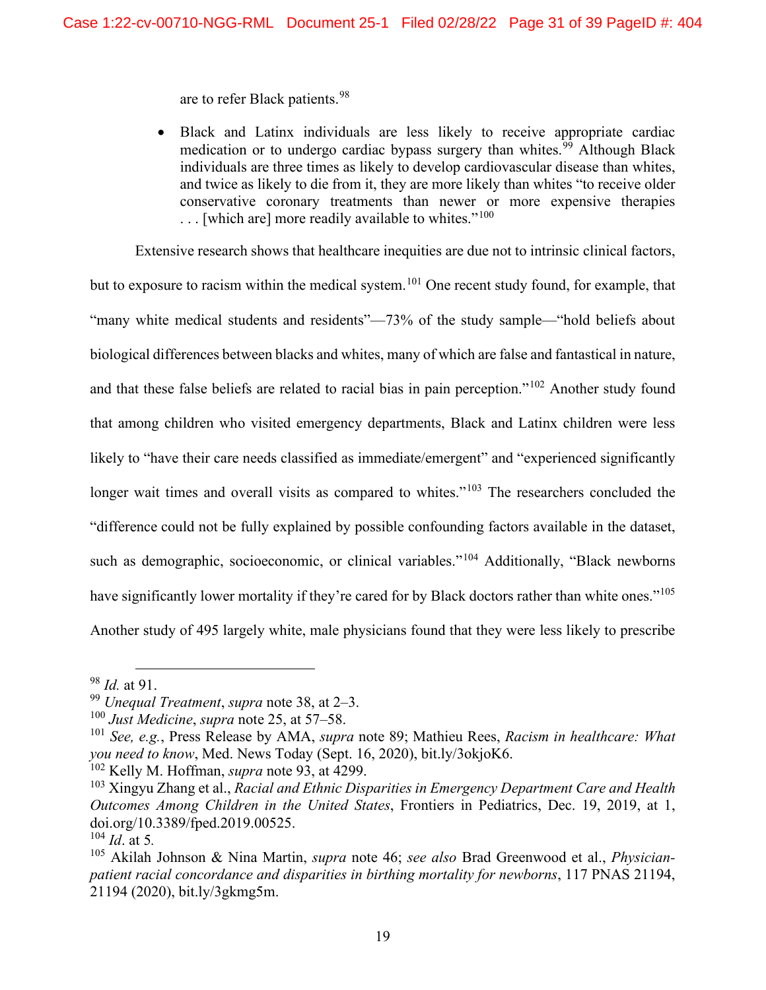are to refer Black patients.[98](#page-30-1)

• Black and Latinx individuals are less likely to receive appropriate cardiac medication or to undergo cardiac bypass surgery than whites.<sup>[99](#page-30-2)</sup> Although Black individuals are three times as likely to develop cardiovascular disease than whites, and twice as likely to die from it, they are more likely than whites "to receive older conservative coronary treatments than newer or more expensive therapies  $\ldots$  [which are] more readily available to whites."<sup>[100](#page-30-3)</sup>

Extensive research shows that healthcare inequities are due not to intrinsic clinical factors, but to exposure to racism within the medical system.<sup>[101](#page-30-4)</sup> One recent study found, for example, that "many white medical students and residents"—73% of the study sample—"hold beliefs about biological differences between blacks and whites, many of which are false and fantastical in nature, and that these false beliefs are related to racial bias in pain perception."[102](#page-30-5) Another study found that among children who visited emergency departments, Black and Latinx children were less likely to "have their care needs classified as immediate/emergent" and "experienced significantly longer wait times and overall visits as compared to whites."<sup>[103](#page-30-6)</sup> The researchers concluded the "difference could not be fully explained by possible confounding factors available in the dataset, such as demographic, socioeconomic, or clinical variables."<sup>[104](#page-30-7)</sup> Additionally, "Black newborns" have significantly lower mortality if they're cared for by Black doctors rather than white ones."<sup>[105](#page-30-8)</sup> Another study of 495 largely white, male physicians found that they were less likely to prescribe

<span id="page-30-5"></span><sup>102</sup> Kelly M. Hoffman, *supra* note 93, at 4299.

<span id="page-30-1"></span><sup>98</sup> *Id.* at 91.

<span id="page-30-2"></span><sup>99</sup> *Unequal Treatment*, *supra* note 38, at 2–3.

<sup>100</sup> *Just Medicine*, *supra* note 25, at 57–58.

<span id="page-30-4"></span><span id="page-30-3"></span><sup>101</sup> *See, e.g.*, Press Release by AMA, *supra* note 89; Mathieu Rees, *Racism in healthcare: What you need to know*, Med. News Today (Sept. 16, 2020), bit.ly/3okjoK6.

<span id="page-30-6"></span><sup>103</sup> Xingyu Zhang et al., *Racial and Ethnic Disparities in Emergency Department Care and Health Outcomes Among Children in the United States*, Frontiers in Pediatrics, Dec. 19, 2019, at 1, doi.org/10.3389/fped.2019.00525.

<span id="page-30-7"></span><span id="page-30-0"></span> $^{104}$  *Id.* at 5.

<span id="page-30-8"></span><sup>105</sup> Akilah Johnson & Nina Martin, *supra* note 46; *see also* Brad Greenwood et al., *Physicianpatient racial concordance and disparities in birthing mortality for newborns*, 117 PNAS 21194, 21194 (2020), bit.ly/3gkmg5m.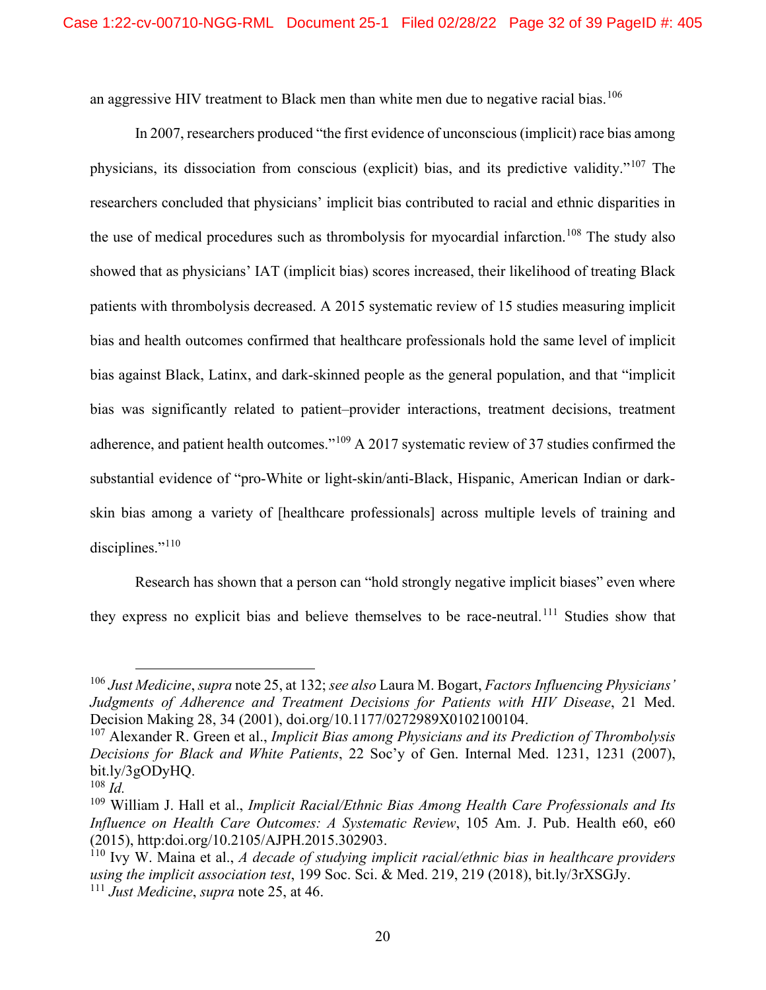an aggressive HIV treatment to Black men than white men due to negative racial bias.  $^{106}$  $^{106}$  $^{106}$ 

In 2007, researchers produced "the first evidence of unconscious (implicit) race bias among physicians, its dissociation from conscious (explicit) bias, and its predictive validity."[107](#page-31-2) The researchers concluded that physicians' implicit bias contributed to racial and ethnic disparities in the use of medical procedures such as thrombolysis for myocardial infarction.<sup>[108](#page-31-3)</sup> The study also showed that as physicians' IAT (implicit bias) scores increased, their likelihood of treating Black patients with thrombolysis decreased. A 2015 systematic review of 15 studies measuring implicit bias and health outcomes confirmed that healthcare professionals hold the same level of implicit bias against Black, Latinx, and dark-skinned people as the general population, and that "implicit bias was significantly related to patient–provider interactions, treatment decisions, treatment adherence, and patient health outcomes."[109](#page-31-4) A 2017 systematic review of 37 studies confirmed the substantial evidence of "pro-White or light-skin/anti-Black, Hispanic, American Indian or darkskin bias among a variety of [healthcare professionals] across multiple levels of training and disciplines."<sup>[110](#page-31-5)</sup>

Research has shown that a person can "hold strongly negative implicit biases" even where they express no explicit bias and believe themselves to be race-neutral.[111](#page-31-6) Studies show that

<span id="page-31-1"></span><sup>106</sup> *Just Medicine*, *supra* note 25, at 132; *see also* Laura M. Bogart, *Factors Influencing Physicians' Judgments of Adherence and Treatment Decisions for Patients with HIV Disease*, 21 Med. Decision Making 28, 34 (2001), doi.org/10.1177/0272989X0102100104.

<span id="page-31-2"></span><span id="page-31-0"></span><sup>107</sup> Alexander R. Green et al., *Implicit Bias among Physicians and its Prediction of Thrombolysis Decisions for Black and White Patients*, 22 Soc'y of Gen. Internal Med. 1231, 1231 (2007), bit.ly/3gODyHQ.

<span id="page-31-3"></span><sup>108</sup> *Id.*

<span id="page-31-4"></span><sup>109</sup> William J. Hall et al., *Implicit Racial/Ethnic Bias Among Health Care Professionals and Its Influence on Health Care Outcomes: A Systematic Review*, 105 Am. J. Pub. Health e60, e60 (2015), http:doi.org/10.2105/AJPH.2015.302903.

<span id="page-31-6"></span><span id="page-31-5"></span><sup>110</sup> Ivy W. Maina et al., *A decade of studying implicit racial/ethnic bias in healthcare providers using the implicit association test*, 199 Soc. Sci. & Med. 219, 219 (2018), bit.ly/3rXSGJy. <sup>111</sup> *Just Medicine*, *supra* note 25, at 46.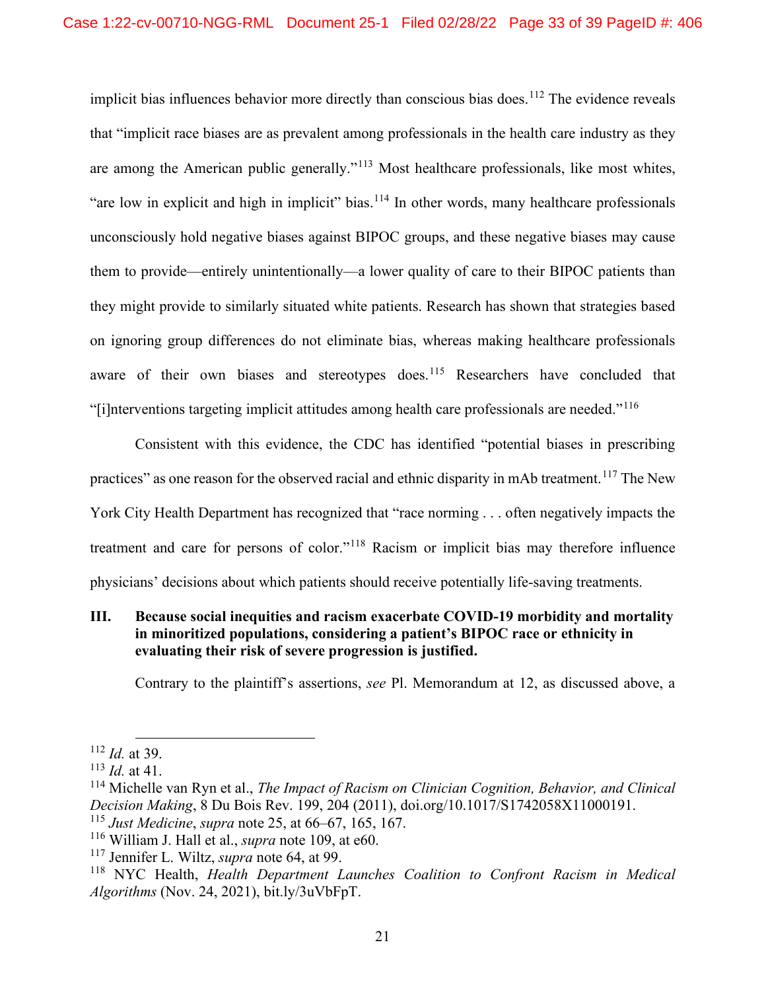implicit bias influences behavior more directly than conscious bias does.<sup>[112](#page-32-0)</sup> The evidence reveals that "implicit race biases are as prevalent among professionals in the health care industry as they are among the American public generally."<sup>[113](#page-32-1)</sup> Most healthcare professionals, like most whites, "are low in explicit and high in implicit" bias.<sup>[114](#page-32-2)</sup> In other words, many healthcare professionals unconsciously hold negative biases against BIPOC groups, and these negative biases may cause them to provide—entirely unintentionally—a lower quality of care to their BIPOC patients than they might provide to similarly situated white patients. Research has shown that strategies based on ignoring group differences do not eliminate bias, whereas making healthcare professionals aware of their own biases and stereotypes does.<sup>[115](#page-32-3)</sup> Researchers have concluded that "[i]nterventions targeting implicit attitudes among health care professionals are needed."[116](#page-32-4)

Consistent with this evidence, the CDC has identified "potential biases in prescribing practices" as one reason for the observed racial and ethnic disparity in mAb treatment.<sup>[117](#page-32-5)</sup> The New York City Health Department has recognized that "race norming . . . often negatively impacts the treatment and care for persons of color."[118](#page-32-6) Racism or implicit bias may therefore influence physicians' decisions about which patients should receive potentially life-saving treatments.

## **III. Because social inequities and racism exacerbate COVID-19 morbidity and mortality in minoritized populations, considering a patient's BIPOC race or ethnicity in evaluating their risk of severe progression is justified.**

Contrary to the plaintiff's assertions, *see* Pl. Memorandum at 12, as discussed above, a

<span id="page-32-0"></span><sup>112</sup> *Id.* at 39.

<span id="page-32-1"></span><sup>113</sup> *Id.* at 41.

<span id="page-32-2"></span><sup>114</sup> Michelle van Ryn et al., *The Impact of Racism on Clinician Cognition, Behavior, and Clinical Decision Making*, 8 Du Bois Rev. 199, 204 (2011), doi.org/10.1017/S1742058X11000191. <sup>115</sup> *Just Medicine*, *supra* note 25, at 66–67, 165, 167.

<span id="page-32-4"></span><span id="page-32-3"></span><sup>116</sup> William J. Hall et al., *supra* note 109, at e60.

<span id="page-32-5"></span><sup>117</sup> Jennifer L. Wiltz, *supra* note 64, at 99.

<span id="page-32-6"></span><sup>118</sup> NYC Health, *Health Department Launches Coalition to Confront Racism in Medical Algorithms* (Nov. 24, 2021), bit.ly/3uVbFpT.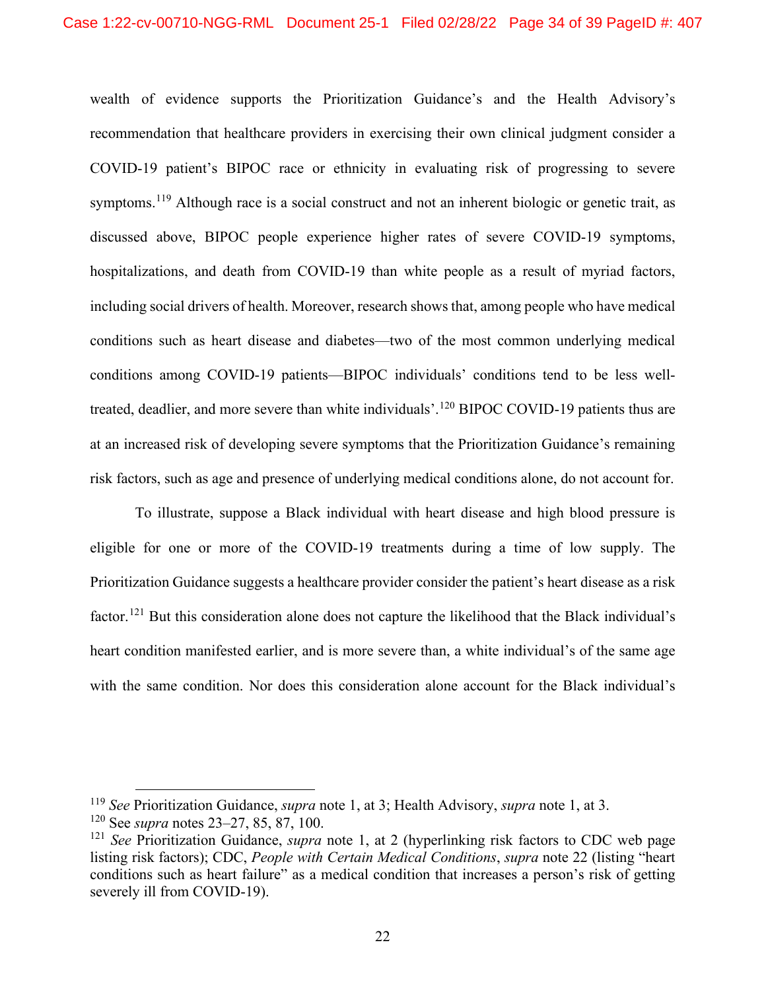wealth of evidence supports the Prioritization Guidance's and the Health Advisory's recommendation that healthcare providers in exercising their own clinical judgment consider a COVID-19 patient's BIPOC race or ethnicity in evaluating risk of progressing to severe symptoms.<sup>[119](#page-33-0)</sup> Although race is a social construct and not an inherent biologic or genetic trait, as discussed above, BIPOC people experience higher rates of severe COVID-19 symptoms, hospitalizations, and death from COVID-19 than white people as a result of myriad factors, including social drivers of health. Moreover, research shows that, among people who have medical conditions such as heart disease and diabetes—two of the most common underlying medical conditions among COVID-19 patients—BIPOC individuals' conditions tend to be less well-treated, deadlier, and more severe than white individuals'.<sup>[120](#page-33-1)</sup> BIPOC COVID-19 patients thus are at an increased risk of developing severe symptoms that the Prioritization Guidance's remaining risk factors, such as age and presence of underlying medical conditions alone, do not account for.

To illustrate, suppose a Black individual with heart disease and high blood pressure is eligible for one or more of the COVID-19 treatments during a time of low supply. The Prioritization Guidance suggests a healthcare provider consider the patient's heart disease as a risk factor.<sup>[121](#page-33-2)</sup> But this consideration alone does not capture the likelihood that the Black individual's heart condition manifested earlier, and is more severe than, a white individual's of the same age with the same condition. Nor does this consideration alone account for the Black individual's

<span id="page-33-0"></span><sup>119</sup> *See* Prioritization Guidance, *supra* note 1, at 3; Health Advisory, *supra* note 1, at 3.

<span id="page-33-1"></span><sup>120</sup> See *supra* notes 23–27, 85, 87, 100.

<span id="page-33-2"></span><sup>121</sup> *See* Prioritization Guidance, *supra* note 1, at 2 (hyperlinking risk factors to CDC web page listing risk factors); CDC, *People with Certain Medical Conditions*, *supra* note 22 (listing "heart conditions such as heart failure" as a medical condition that increases a person's risk of getting severely ill from COVID-19).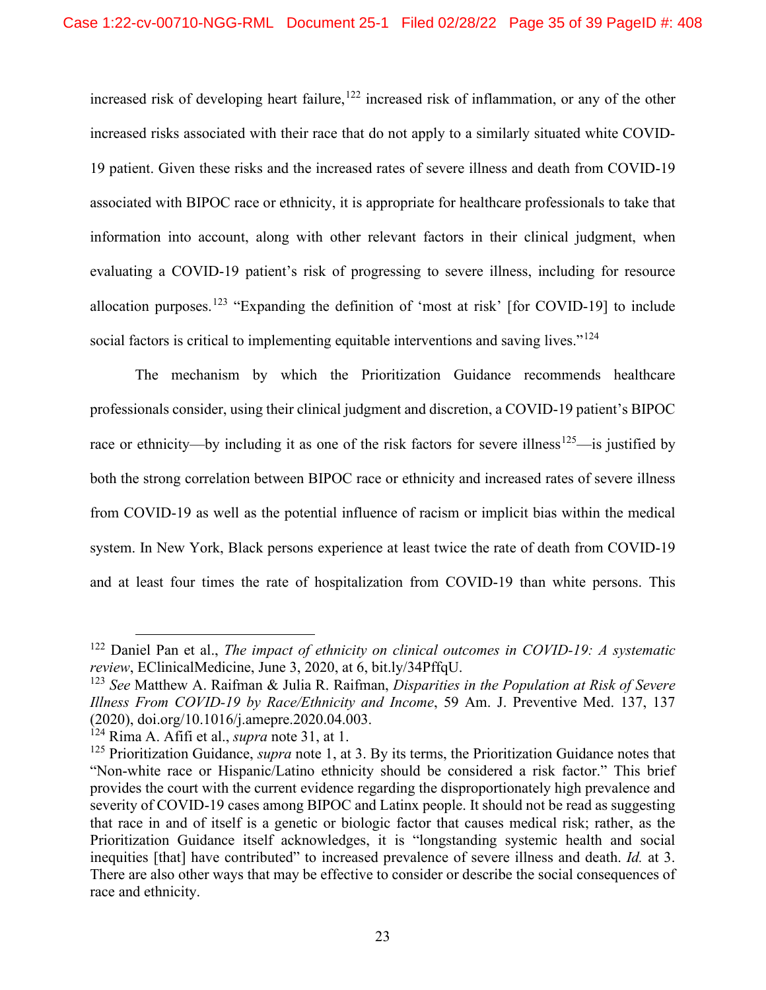increased risk of developing heart failure,<sup>[122](#page-34-0)</sup> increased risk of inflammation, or any of the other increased risks associated with their race that do not apply to a similarly situated white COVID-19 patient. Given these risks and the increased rates of severe illness and death from COVID-19 associated with BIPOC race or ethnicity, it is appropriate for healthcare professionals to take that information into account, along with other relevant factors in their clinical judgment, when evaluating a COVID-19 patient's risk of progressing to severe illness, including for resource allocation purposes.<sup>[123](#page-34-1)</sup> "Expanding the definition of 'most at risk' [for COVID-19] to include social factors is critical to implementing equitable interventions and saving lives."<sup>[124](#page-34-2)</sup>

The mechanism by which the Prioritization Guidance recommends healthcare professionals consider, using their clinical judgment and discretion, a COVID-19 patient's BIPOC race or ethnicity—by including it as one of the risk factors for severe illness<sup>[125](#page-34-3)</sup>—is justified by both the strong correlation between BIPOC race or ethnicity and increased rates of severe illness from COVID-19 as well as the potential influence of racism or implicit bias within the medical system. In New York, Black persons experience at least twice the rate of death from COVID-19 and at least four times the rate of hospitalization from COVID-19 than white persons. This

<span id="page-34-0"></span><sup>122</sup> Daniel Pan et al., *The impact of ethnicity on clinical outcomes in COVID-19: A systematic review*, EClinicalMedicine, June 3, 2020, at 6, bit.ly/34PffqU.

<span id="page-34-1"></span><sup>123</sup> *See* Matthew A. Raifman & Julia R. Raifman, *Disparities in the Population at Risk of Severe Illness From COVID-19 by Race/Ethnicity and Income*, 59 Am. J. Preventive Med. 137, 137 (2020), doi.org/10.1016/j.amepre.2020.04.003.

<span id="page-34-2"></span><sup>124</sup> Rima A. Afifi et al., *supra* note 31, at 1.

<span id="page-34-3"></span><sup>&</sup>lt;sup>125</sup> Prioritization Guidance, *supra* note 1, at 3. By its terms, the Prioritization Guidance notes that "Non-white race or Hispanic/Latino ethnicity should be considered a risk factor." This brief provides the court with the current evidence regarding the disproportionately high prevalence and severity of COVID-19 cases among BIPOC and Latinx people. It should not be read as suggesting that race in and of itself is a genetic or biologic factor that causes medical risk; rather, as the Prioritization Guidance itself acknowledges, it is "longstanding systemic health and social inequities [that] have contributed" to increased prevalence of severe illness and death. *Id.* at 3. There are also other ways that may be effective to consider or describe the social consequences of race and ethnicity.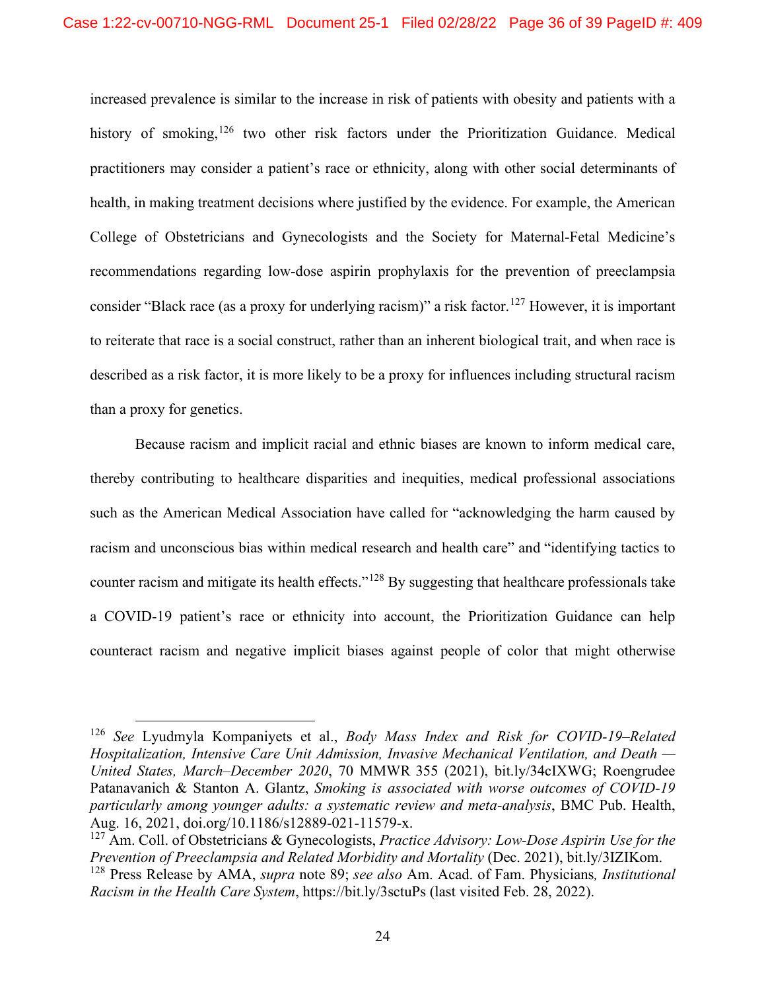increased prevalence is similar to the increase in risk of patients with obesity and patients with a history of smoking,  $126$  two other risk factors under the Prioritization Guidance. Medical practitioners may consider a patient's race or ethnicity, along with other social determinants of health, in making treatment decisions where justified by the evidence. For example, the American College of Obstetricians and Gynecologists and the Society for Maternal-Fetal Medicine's recommendations regarding low-dose aspirin prophylaxis for the prevention of preeclampsia consider "Black race (as a proxy for underlying racism)" a risk factor.<sup>[127](#page-35-2)</sup> However, it is important to reiterate that race is a social construct, rather than an inherent biological trait, and when race is described as a risk factor, it is more likely to be a proxy for influences including structural racism than a proxy for genetics.

Because racism and implicit racial and ethnic biases are known to inform medical care, thereby contributing to healthcare disparities and inequities, medical professional associations such as the American Medical Association have called for "acknowledging the harm caused by racism and unconscious bias within medical research and health care" and "identifying tactics to counter racism and mitigate its health effects."[128](#page-35-3) By suggesting that healthcare professionals take a COVID-19 patient's race or ethnicity into account, the Prioritization Guidance can help counteract racism and negative implicit biases against people of color that might otherwise

<span id="page-35-1"></span><sup>126</sup> *See* Lyudmyla Kompaniyets et al., *Body Mass Index and Risk for COVID-19–Related Hospitalization, Intensive Care Unit Admission, Invasive Mechanical Ventilation, and Death — United States, March–December 2020*, 70 MMWR 355 (2021), bit.ly/34cIXWG; Roengrudee Patanavanich & Stanton A. Glantz, *Smoking is associated with worse outcomes of COVID-19 particularly among younger adults: a systematic review and meta-analysis*, BMC Pub. Health, Aug. 16, 2021, doi.org/10.1186/s12889-021-11579-x.

<span id="page-35-2"></span><span id="page-35-0"></span><sup>127</sup> Am. Coll. of Obstetricians & Gynecologists, *Practice Advisory: Low-Dose Aspirin Use for the Prevention of Preeclampsia and Related Morbidity and Mortality* (Dec. 2021), bit.ly/3IZIKom.

<span id="page-35-3"></span><sup>128</sup> Press Release by AMA, *supra* note 89; *see also* Am. Acad. of Fam. Physicians*, Institutional Racism in the Health Care System*, https://bit.ly/3sctuPs (last visited Feb. 28, 2022).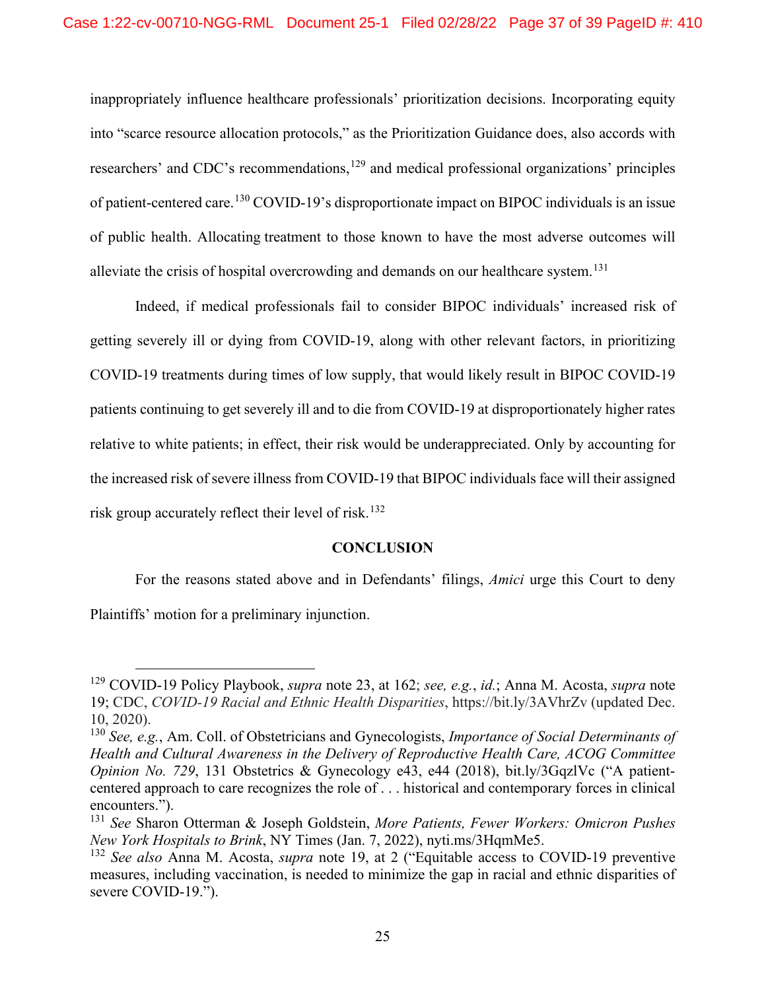inappropriately influence healthcare professionals' prioritization decisions. Incorporating equity into "scarce resource allocation protocols," as the Prioritization Guidance does, also accords with researchers' and CDC's recommendations,<sup>[129](#page-36-0)</sup> and medical professional organizations' principles of patient-centered care.<sup>[130](#page-36-1)</sup> COVID-19's disproportionate impact on BIPOC individuals is an issue of public health. Allocating treatment to those known to have the most adverse outcomes will alleviate the crisis of hospital overcrowding and demands on our healthcare system.<sup>[131](#page-36-2)</sup>

Indeed, if medical professionals fail to consider BIPOC individuals' increased risk of getting severely ill or dying from COVID-19, along with other relevant factors, in prioritizing COVID-19 treatments during times of low supply, that would likely result in BIPOC COVID-19 patients continuing to get severely ill and to die from COVID-19 at disproportionately higher rates relative to white patients; in effect, their risk would be underappreciated. Only by accounting for the increased risk of severe illness from COVID-19 that BIPOC individuals face will their assigned risk group accurately reflect their level of risk.<sup>[132](#page-36-3)</sup>

#### **CONCLUSION**

For the reasons stated above and in Defendants' filings, *Amici* urge this Court to deny Plaintiffs' motion for a preliminary injunction.

<span id="page-36-0"></span><sup>129</sup> COVID-19 Policy Playbook, *supra* note 23, at 162; *see, e.g.*, *id.*; Anna M. Acosta, *supra* note 19; CDC, *COVID-19 Racial and Ethnic Health Disparities*, https://bit.ly/3AVhrZv (updated Dec. 10, 2020).

<span id="page-36-1"></span><sup>130</sup> *See, e.g.*, Am. Coll. of Obstetricians and Gynecologists, *Importance of Social Determinants of Health and Cultural Awareness in the Delivery of Reproductive Health Care, ACOG Committee Opinion No. 729*, 131 Obstetrics & Gynecology e43, e44 (2018), bit.ly/3GqzlVc ("A patientcentered approach to care recognizes the role of . . . historical and contemporary forces in clinical encounters.").

<span id="page-36-2"></span><sup>131</sup> *See* Sharon Otterman & Joseph Goldstein, *More Patients, Fewer Workers: Omicron Pushes New York Hospitals to Brink*, NY Times (Jan. 7, 2022), nyti.ms/3HqmMe5.

<span id="page-36-3"></span><sup>132</sup> *See also* Anna M. Acosta, *supra* note 19, at 2 ("Equitable access to COVID-19 preventive measures, including vaccination, is needed to minimize the gap in racial and ethnic disparities of severe COVID-19.").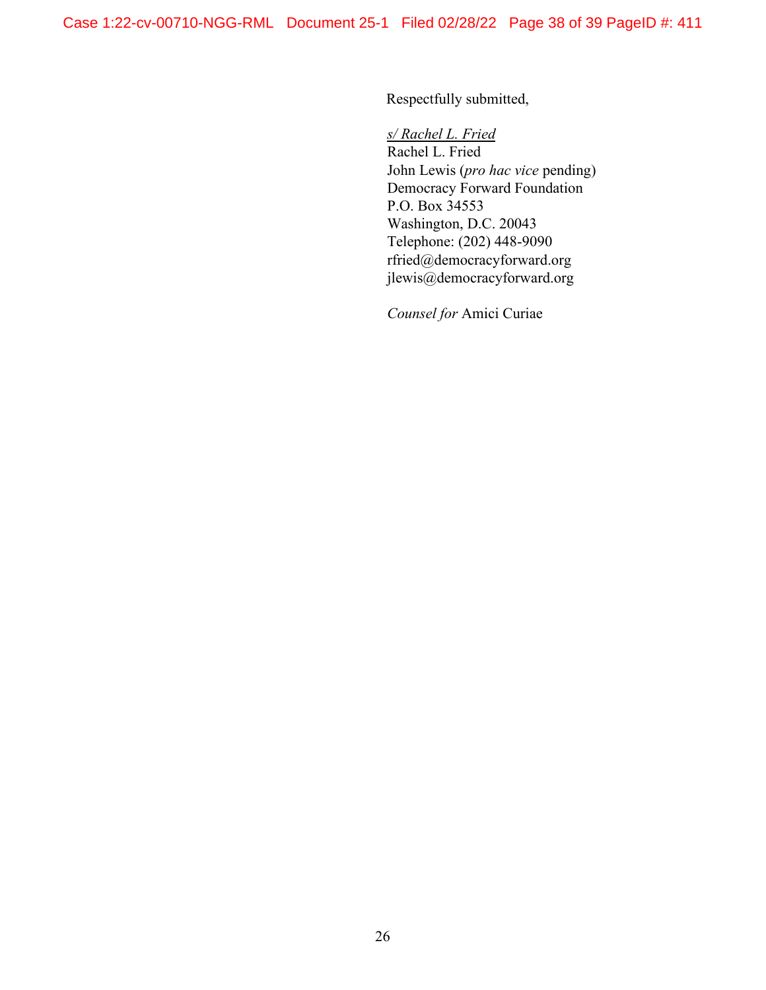Respectfully submitted,

*s/ Rachel L. Fried*

Rachel L. Fried John Lewis (*pro hac vice* pending) Democracy Forward Foundation P.O. Box 34553 Washington, D.C. 20043 Telephone: (202) 448-9090 rfried@democracyforward.org jlewis@democracyforward.org

*Counsel for* Amici Curiae